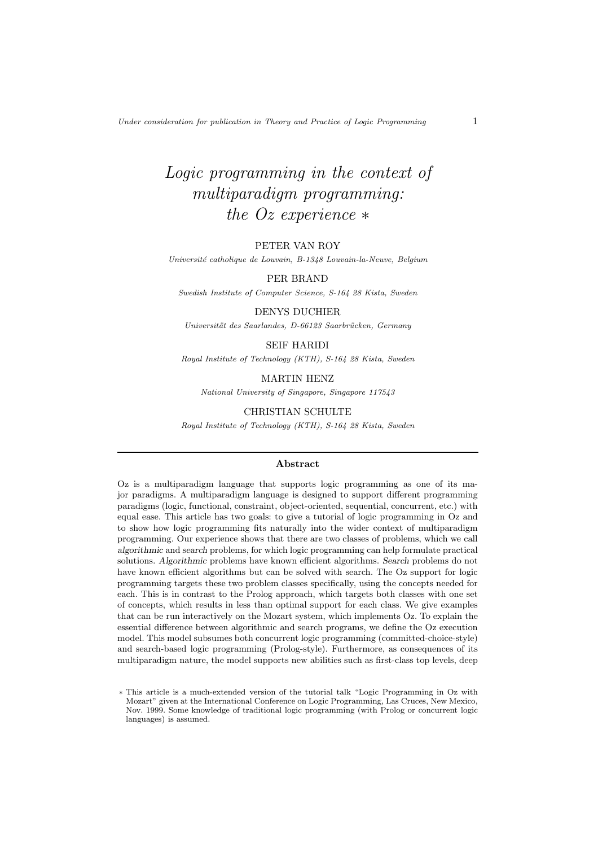# Logic programming in the context of multiparadigm programming: the Oz experience ∗

#### PETER VAN ROY

Université catholique de Louvain, B-1348 Louvain-la-Neuve, Belgium

#### PER BRAND

Swedish Institute of Computer Science, S-164 28 Kista, Sweden

#### DENYS DUCHIER

Universität des Saarlandes, D-66123 Saarbrücken, Germany

#### SEIF HARIDI

Royal Institute of Technology (KTH), S-164 28 Kista, Sweden

# MARTIN HENZ

National University of Singapore, Singapore 117543

#### CHRISTIAN SCHULTE

Royal Institute of Technology (KTH), S-164 28 Kista, Sweden

#### Abstract

Oz is a multiparadigm language that supports logic programming as one of its major paradigms. A multiparadigm language is designed to support different programming paradigms (logic, functional, constraint, object-oriented, sequential, concurrent, etc.) with equal ease. This article has two goals: to give a tutorial of logic programming in Oz and to show how logic programming fits naturally into the wider context of multiparadigm programming. Our experience shows that there are two classes of problems, which we call algorithmic and search problems, for which logic programming can help formulate practical solutions. Algorithmic problems have known efficient algorithms. Search problems do not have known efficient algorithms but can be solved with search. The Oz support for logic programming targets these two problem classes specifically, using the concepts needed for each. This is in contrast to the Prolog approach, which targets both classes with one set of concepts, which results in less than optimal support for each class. We give examples that can be run interactively on the Mozart system, which implements Oz. To explain the essential difference between algorithmic and search programs, we define the Oz execution model. This model subsumes both concurrent logic programming (committed-choice-style) and search-based logic programming (Prolog-style). Furthermore, as consequences of its multiparadigm nature, the model supports new abilities such as first-class top levels, deep

<sup>∗</sup> This article is a much-extended version of the tutorial talk "Logic Programming in Oz with Mozart" given at the International Conference on Logic Programming, Las Cruces, New Mexico, Nov. 1999. Some knowledge of traditional logic programming (with Prolog or concurrent logic languages) is assumed.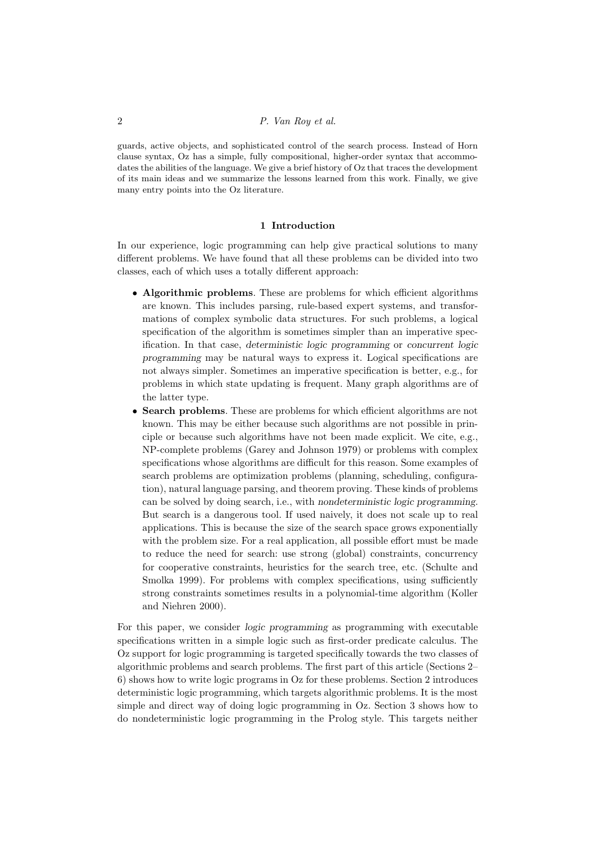guards, active objects, and sophisticated control of the search process. Instead of Horn clause syntax, Oz has a simple, fully compositional, higher-order syntax that accommodates the abilities of the language. We give a brief history of Oz that traces the development of its main ideas and we summarize the lessons learned from this work. Finally, we give many entry points into the Oz literature.

# 1 Introduction

In our experience, logic programming can help give practical solutions to many different problems. We have found that all these problems can be divided into two classes, each of which uses a totally different approach:

- Algorithmic problems. These are problems for which efficient algorithms are known. This includes parsing, rule-based expert systems, and transformations of complex symbolic data structures. For such problems, a logical specification of the algorithm is sometimes simpler than an imperative specification. In that case, deterministic logic programming or concurrent logic programming may be natural ways to express it. Logical specifications are not always simpler. Sometimes an imperative specification is better, e.g., for problems in which state updating is frequent. Many graph algorithms are of the latter type.
- Search problems. These are problems for which efficient algorithms are not known. This may be either because such algorithms are not possible in principle or because such algorithms have not been made explicit. We cite, e.g., NP-complete problems (Garey and Johnson 1979) or problems with complex specifications whose algorithms are difficult for this reason. Some examples of search problems are optimization problems (planning, scheduling, configuration), natural language parsing, and theorem proving. These kinds of problems can be solved by doing search, i.e., with nondeterministic logic programming. But search is a dangerous tool. If used naively, it does not scale up to real applications. This is because the size of the search space grows exponentially with the problem size. For a real application, all possible effort must be made to reduce the need for search: use strong (global) constraints, concurrency for cooperative constraints, heuristics for the search tree, etc. (Schulte and Smolka 1999). For problems with complex specifications, using sufficiently strong constraints sometimes results in a polynomial-time algorithm (Koller and Niehren 2000).

For this paper, we consider logic programming as programming with executable specifications written in a simple logic such as first-order predicate calculus. The Oz support for logic programming is targeted specifically towards the two classes of algorithmic problems and search problems. The first part of this article (Sections 2– 6) shows how to write logic programs in Oz for these problems. Section 2 introduces deterministic logic programming, which targets algorithmic problems. It is the most simple and direct way of doing logic programming in Oz. Section 3 shows how to do nondeterministic logic programming in the Prolog style. This targets neither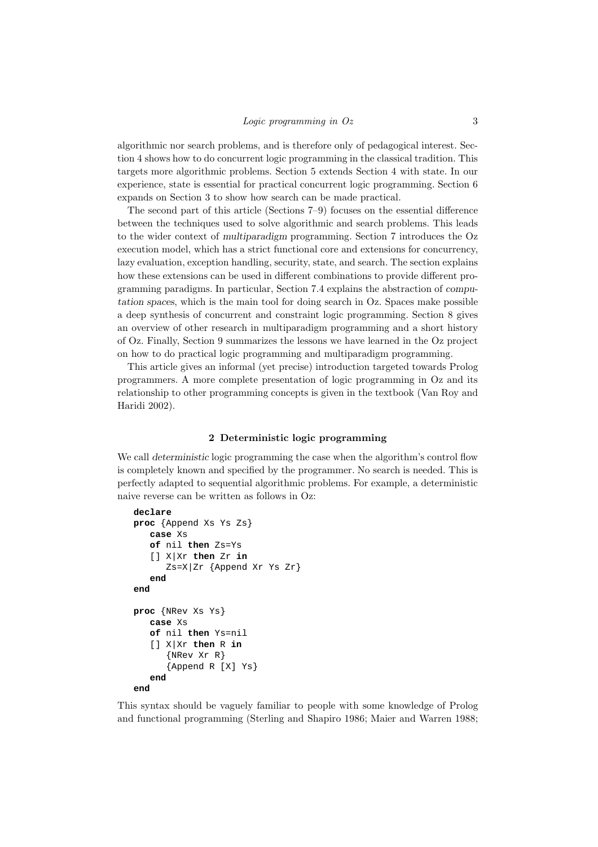algorithmic nor search problems, and is therefore only of pedagogical interest. Section 4 shows how to do concurrent logic programming in the classical tradition. This targets more algorithmic problems. Section 5 extends Section 4 with state. In our experience, state is essential for practical concurrent logic programming. Section 6 expands on Section 3 to show how search can be made practical.

The second part of this article (Sections 7–9) focuses on the essential difference between the techniques used to solve algorithmic and search problems. This leads to the wider context of multiparadigm programming. Section 7 introduces the Oz execution model, which has a strict functional core and extensions for concurrency, lazy evaluation, exception handling, security, state, and search. The section explains how these extensions can be used in different combinations to provide different programming paradigms. In particular, Section 7.4 explains the abstraction of computation spaces, which is the main tool for doing search in Oz. Spaces make possible a deep synthesis of concurrent and constraint logic programming. Section 8 gives an overview of other research in multiparadigm programming and a short history of Oz. Finally, Section 9 summarizes the lessons we have learned in the Oz project on how to do practical logic programming and multiparadigm programming.

This article gives an informal (yet precise) introduction targeted towards Prolog programmers. A more complete presentation of logic programming in Oz and its relationship to other programming concepts is given in the textbook (Van Roy and Haridi 2002).

### 2 Deterministic logic programming

We call deterministic logic programming the case when the algorithm's control flow is completely known and specified by the programmer. No search is needed. This is perfectly adapted to sequential algorithmic problems. For example, a deterministic naive reverse can be written as follows in Oz:

```
declare
proc {Append Xs Ys Zs}
   case Xs
   of nil then Zs=Ys
   [] X|Xr then Zr in
      Zs=X|Zr {Append Xr Ys Zr}
   end
end
proc {NRev Xs Ys}
   case Xs
   of nil then Ys=nil
   [] X|Xr then R in
      {NRev Xr R}
      {Append R [X] Ys}
   end
end
```
This syntax should be vaguely familiar to people with some knowledge of Prolog and functional programming (Sterling and Shapiro 1986; Maier and Warren 1988;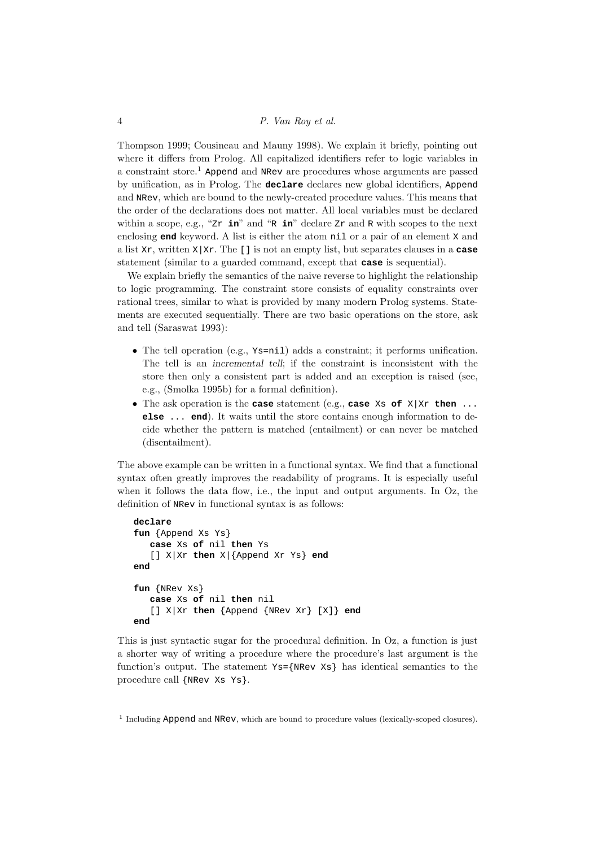Thompson 1999; Cousineau and Mauny 1998). We explain it briefly, pointing out where it differs from Prolog. All capitalized identifiers refer to logic variables in a constraint store.<sup>1</sup> Append and NRev are procedures whose arguments are passed by unification, as in Prolog. The **declare** declares new global identifiers, Append and NRev, which are bound to the newly-created procedure values. This means that the order of the declarations does not matter. All local variables must be declared within a scope, e.g., " $zr$  **in**" and "R **in**" declare  $zr$  and R with scopes to the next enclosing **end** keyword. A list is either the atom nil or a pair of an element X and a list Xr, written X|Xr. The [] is not an empty list, but separates clauses in a **case** statement (similar to a guarded command, except that **case** is sequential).

We explain briefly the semantics of the naive reverse to highlight the relationship to logic programming. The constraint store consists of equality constraints over rational trees, similar to what is provided by many modern Prolog systems. Statements are executed sequentially. There are two basic operations on the store, ask and tell (Saraswat 1993):

- The tell operation (e.g., Ys=nil) adds a constraint; it performs unification. The tell is an incremental tell; if the constraint is inconsistent with the store then only a consistent part is added and an exception is raised (see, e.g., (Smolka 1995b) for a formal definition).
- The ask operation is the **case** statement (e.g., **case** Xs **of** X|Xr **then** ... **else** ... **end**). It waits until the store contains enough information to decide whether the pattern is matched (entailment) or can never be matched (disentailment).

The above example can be written in a functional syntax. We find that a functional syntax often greatly improves the readability of programs. It is especially useful when it follows the data flow, i.e., the input and output arguments. In Oz, the definition of NRev in functional syntax is as follows:

```
declare
fun {Append Xs Ys}
   case Xs of nil then Ys
   [] X|Xr then X|{Append Xr Ys} end
end
fun {NRev Xs}
   case Xs of nil then nil
   [] X|Xr then {Append {NRev Xr} [X]} end
end
```
This is just syntactic sugar for the procedural definition. In Oz, a function is just a shorter way of writing a procedure where the procedure's last argument is the function's output. The statement  $\gamma s = \{NRev Xs\}$  has identical semantics to the procedure call {NRev Xs Ys}.

<sup>&</sup>lt;sup>1</sup> Including Append and NRev, which are bound to procedure values (lexically-scoped closures).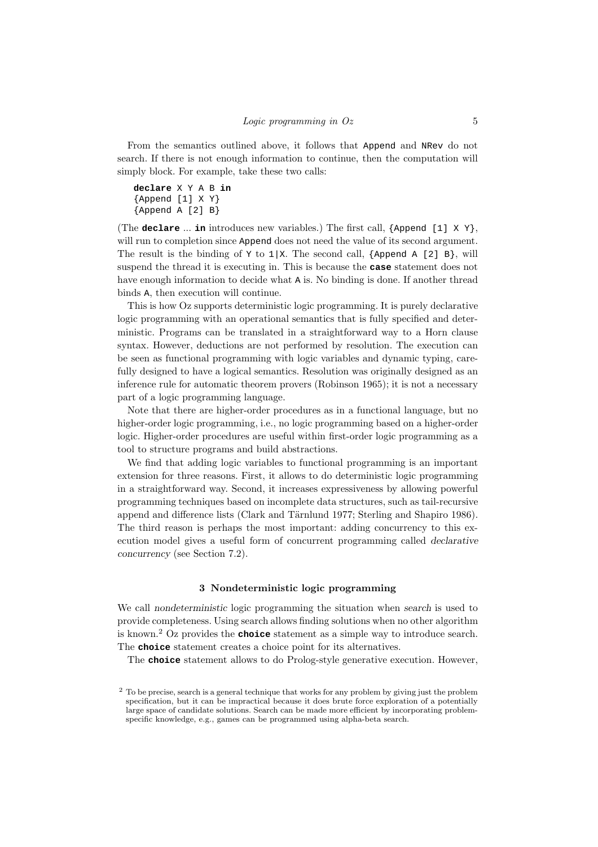From the semantics outlined above, it follows that Append and NRev do not search. If there is not enough information to continue, then the computation will simply block. For example, take these two calls:

```
declare X Y A B in
{Append [1] X Y}
{Append A [2] B}
```
(The **declare**  $\ldots$  **in** introduces new variables.) The first call, {Append  $[1] \times Y$ }, will run to completion since Append does not need the value of its second argument. The result is the binding of  $Y$  to  $1|X$ . The second call, {Append A [2] B}, will suspend the thread it is executing in. This is because the **case** statement does not have enough information to decide what A is. No binding is done. If another thread binds A, then execution will continue.

This is how Oz supports deterministic logic programming. It is purely declarative logic programming with an operational semantics that is fully specified and deterministic. Programs can be translated in a straightforward way to a Horn clause syntax. However, deductions are not performed by resolution. The execution can be seen as functional programming with logic variables and dynamic typing, carefully designed to have a logical semantics. Resolution was originally designed as an inference rule for automatic theorem provers (Robinson 1965); it is not a necessary part of a logic programming language.

Note that there are higher-order procedures as in a functional language, but no higher-order logic programming, i.e., no logic programming based on a higher-order logic. Higher-order procedures are useful within first-order logic programming as a tool to structure programs and build abstractions.

We find that adding logic variables to functional programming is an important extension for three reasons. First, it allows to do deterministic logic programming in a straightforward way. Second, it increases expressiveness by allowing powerful programming techniques based on incomplete data structures, such as tail-recursive append and difference lists (Clark and Tärnlund 1977; Sterling and Shapiro 1986). The third reason is perhaps the most important: adding concurrency to this execution model gives a useful form of concurrent programming called declarative concurrency (see Section 7.2).

# 3 Nondeterministic logic programming

We call nondeterministic logic programming the situation when search is used to provide completeness. Using search allows finding solutions when no other algorithm is known.<sup>2</sup> Oz provides the **choice** statement as a simple way to introduce search. The **choice** statement creates a choice point for its alternatives.

The **choice** statement allows to do Prolog-style generative execution. However,

<sup>&</sup>lt;sup>2</sup> To be precise, search is a general technique that works for any problem by giving just the problem specification, but it can be impractical because it does brute force exploration of a potentially large space of candidate solutions. Search can be made more efficient by incorporating problemspecific knowledge, e.g., games can be programmed using alpha-beta search.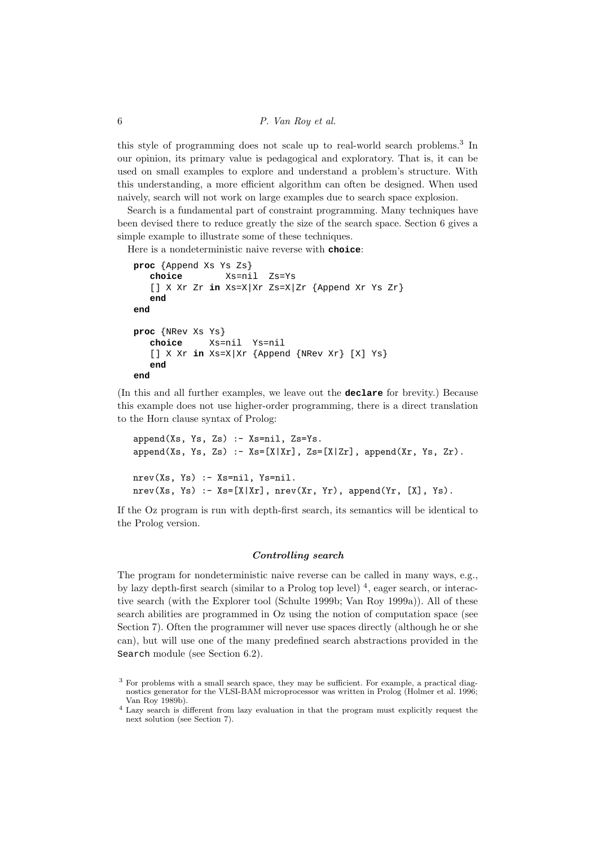this style of programming does not scale up to real-world search problems.<sup>3</sup> In our opinion, its primary value is pedagogical and exploratory. That is, it can be used on small examples to explore and understand a problem's structure. With this understanding, a more efficient algorithm can often be designed. When used naively, search will not work on large examples due to search space explosion.

Search is a fundamental part of constraint programming. Many techniques have been devised there to reduce greatly the size of the search space. Section 6 gives a simple example to illustrate some of these techniques.

Here is a nondeterministic naive reverse with **choice**:

```
proc {Append Xs Ys Zs}
  choice Xs=nil Zs=Ys
  [] X Xr Zr in Xs=X|Xr Zs=X|Zr {Append Xr Ys Zr}
  end
end
proc {NRev Xs Ys}
  choice Xs=nil Ys=nil
  [] X Xr in Xs=X|Xr {Append {NRev Xr} [X] Ys}
  end
end
```
(In this and all further examples, we leave out the **declare** for brevity.) Because this example does not use higher-order programming, there is a direct translation to the Horn clause syntax of Prolog:

```
append(Xs, Ys, Zs) :- Xs=nil, Zs=Ys.
append(Xs, Ys, Zs) :- Xs=[X|Xr], Zs=[X|Zr], append(Xr, Ys, Zr).nrev(Xs, Ys) :- Xs=nil, Ys=nil.
nrev(Xs, Ys) :- Xs=[X|Xr], nrev(Xr, Yr), append(Yr, [X], Ys).
```
If the Oz program is run with depth-first search, its semantics will be identical to the Prolog version.

# Controlling search

The program for nondeterministic naive reverse can be called in many ways, e.g., by lazy depth-first search (similar to a Prolog top level)<sup>4</sup>, eager search, or interactive search (with the Explorer tool (Schulte 1999b; Van Roy 1999a)). All of these search abilities are programmed in Oz using the notion of computation space (see Section 7). Often the programmer will never use spaces directly (although he or she can), but will use one of the many predefined search abstractions provided in the Search module (see Section 6.2).

<sup>3</sup> For problems with a small search space, they may be sufficient. For example, a practical diagnostics generator for the VLSI-BAM microprocessor was written in Prolog (Holmer et al. 1996; Van Roy 1989b).

<sup>4</sup> Lazy search is different from lazy evaluation in that the program must explicitly request the next solution (see Section 7).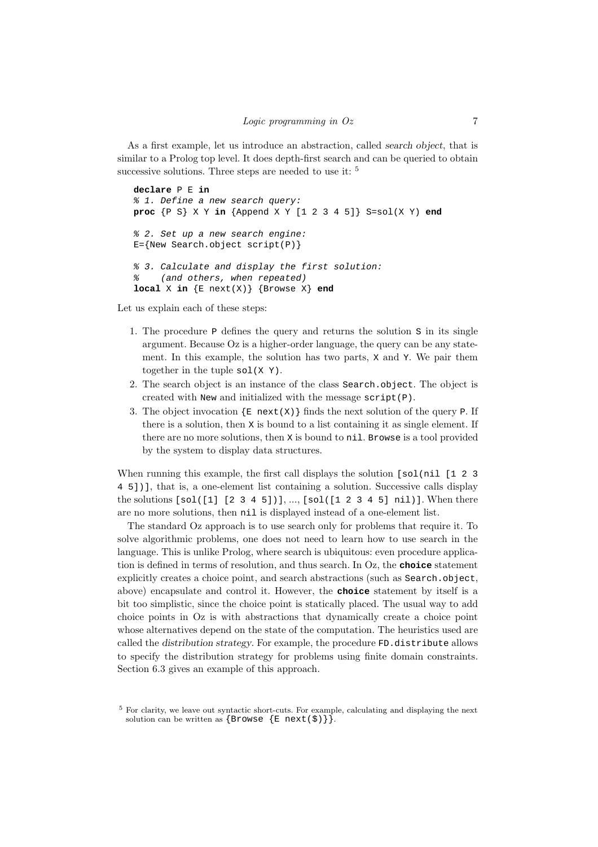As a first example, let us introduce an abstraction, called search object, that is similar to a Prolog top level. It does depth-first search and can be queried to obtain successive solutions. Three steps are needed to use it:  $5$ 

```
declare P E in
% 1. Define a new search query:
proc {P S} X Y in {Append X Y [1 2 3 4 5]} S=sol(X Y) end
% 2. Set up a new search engine:
E = \{New Search.object script(P)\}% 3. Calculate and display the first solution:
% (and others, when repeated)
local X in {E next(X)} {Browse X} end
```
Let us explain each of these steps:

- 1. The procedure P defines the query and returns the solution S in its single argument. Because Oz is a higher-order language, the query can be any statement. In this example, the solution has two parts, X and Y. We pair them together in the tuple  $sol(X, Y)$ .
- 2. The search object is an instance of the class Search.object. The object is created with New and initialized with the message script(P).
- 3. The object invocation  $\{E \text{ next}(X)\}\$  finds the next solution of the query P. If there is a solution, then X is bound to a list containing it as single element. If there are no more solutions, then X is bound to nil. Browse is a tool provided by the system to display data structures.

When running this example, the first call displays the solution [sol(nil [1 2 3] 4 5])], that is, a one-element list containing a solution. Successive calls display the solutions  $[sol([1] [2 3 4 5])], ..., [sol([1 2 3 4 5] nil)].$  When there are no more solutions, then nil is displayed instead of a one-element list.

The standard Oz approach is to use search only for problems that require it. To solve algorithmic problems, one does not need to learn how to use search in the language. This is unlike Prolog, where search is ubiquitous: even procedure application is defined in terms of resolution, and thus search. In Oz, the **choice** statement explicitly creates a choice point, and search abstractions (such as Search.object, above) encapsulate and control it. However, the **choice** statement by itself is a bit too simplistic, since the choice point is statically placed. The usual way to add choice points in Oz is with abstractions that dynamically create a choice point whose alternatives depend on the state of the computation. The heuristics used are called the distribution strategy. For example, the procedure FD.distribute allows to specify the distribution strategy for problems using finite domain constraints. Section 6.3 gives an example of this approach.

<sup>5</sup> For clarity, we leave out syntactic short-cuts. For example, calculating and displaying the next solution can be written as  $\{Brows\}$ .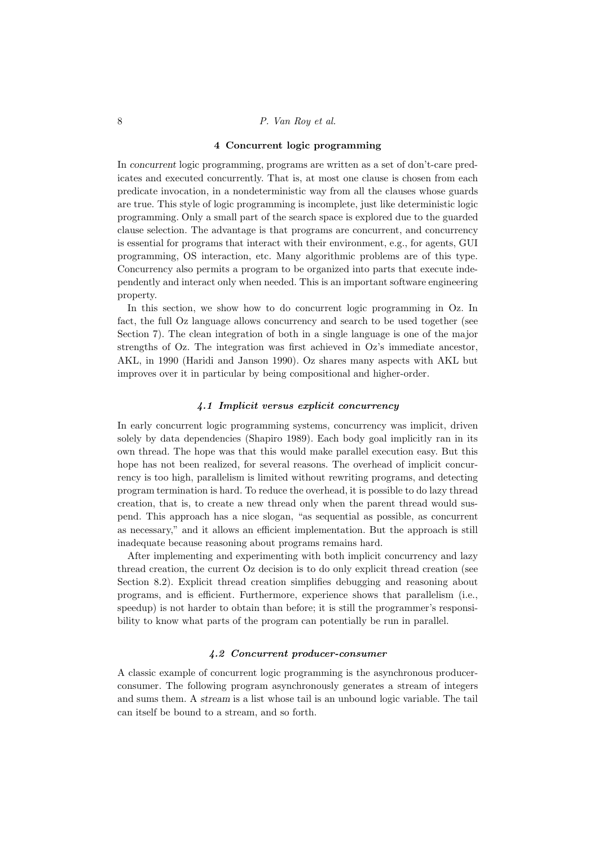## 4 Concurrent logic programming

In concurrent logic programming, programs are written as a set of don't-care predicates and executed concurrently. That is, at most one clause is chosen from each predicate invocation, in a nondeterministic way from all the clauses whose guards are true. This style of logic programming is incomplete, just like deterministic logic programming. Only a small part of the search space is explored due to the guarded clause selection. The advantage is that programs are concurrent, and concurrency is essential for programs that interact with their environment, e.g., for agents, GUI programming, OS interaction, etc. Many algorithmic problems are of this type. Concurrency also permits a program to be organized into parts that execute independently and interact only when needed. This is an important software engineering property.

In this section, we show how to do concurrent logic programming in Oz. In fact, the full Oz language allows concurrency and search to be used together (see Section 7). The clean integration of both in a single language is one of the major strengths of Oz. The integration was first achieved in Oz's immediate ancestor, AKL, in 1990 (Haridi and Janson 1990). Oz shares many aspects with AKL but improves over it in particular by being compositional and higher-order.

#### 4.1 Implicit versus explicit concurrency

In early concurrent logic programming systems, concurrency was implicit, driven solely by data dependencies (Shapiro 1989). Each body goal implicitly ran in its own thread. The hope was that this would make parallel execution easy. But this hope has not been realized, for several reasons. The overhead of implicit concurrency is too high, parallelism is limited without rewriting programs, and detecting program termination is hard. To reduce the overhead, it is possible to do lazy thread creation, that is, to create a new thread only when the parent thread would suspend. This approach has a nice slogan, "as sequential as possible, as concurrent as necessary," and it allows an efficient implementation. But the approach is still inadequate because reasoning about programs remains hard.

After implementing and experimenting with both implicit concurrency and lazy thread creation, the current Oz decision is to do only explicit thread creation (see Section 8.2). Explicit thread creation simplifies debugging and reasoning about programs, and is efficient. Furthermore, experience shows that parallelism (i.e., speedup) is not harder to obtain than before; it is still the programmer's responsibility to know what parts of the program can potentially be run in parallel.

# 4.2 Concurrent producer-consumer

A classic example of concurrent logic programming is the asynchronous producerconsumer. The following program asynchronously generates a stream of integers and sums them. A stream is a list whose tail is an unbound logic variable. The tail can itself be bound to a stream, and so forth.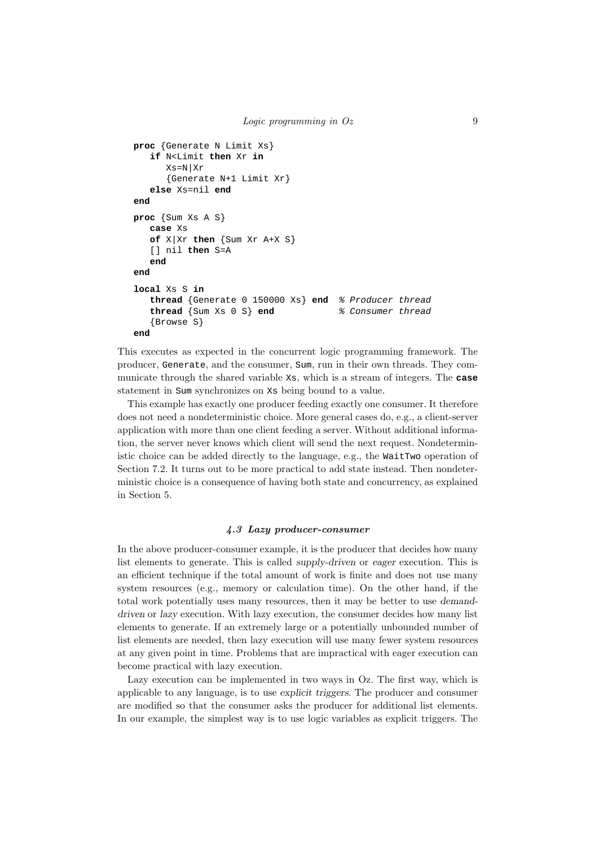```
proc {Generate N Limit Xs}
   if N<Limit then Xr in
     Xs=N|Xr
      {Generate N+1 Limit Xr}
   else Xs=nil end
end
proc {Sum Xs A S}
   case Xs
   of X|Xr then {Sum Xr A+X S}
   [] nil then S=A
   end
end
local Xs S in
   thread {Generate 0 150000 Xs} end % Producer thread
   thread {Sum Xs 0 S} end % Consumer thread
   {Browse S}
end
```
This executes as expected in the concurrent logic programming framework. The producer, Generate, and the consumer, Sum, run in their own threads. They communicate through the shared variable Xs, which is a stream of integers. The **case** statement in Sum synchronizes on Xs being bound to a value.

This example has exactly one producer feeding exactly one consumer. It therefore does not need a nondeterministic choice. More general cases do, e.g., a client-server application with more than one client feeding a server. Without additional information, the server never knows which client will send the next request. Nondeterministic choice can be added directly to the language, e.g., the WaitTwo operation of Section 7.2. It turns out to be more practical to add state instead. Then nondeterministic choice is a consequence of having both state and concurrency, as explained in Section 5.

# 4.3 Lazy producer-consumer

In the above producer-consumer example, it is the producer that decides how many list elements to generate. This is called supply-driven or eager execution. This is an efficient technique if the total amount of work is finite and does not use many system resources (e.g., memory or calculation time). On the other hand, if the total work potentially uses many resources, then it may be better to use demanddriven or lazy execution. With lazy execution, the consumer decides how many list elements to generate. If an extremely large or a potentially unbounded number of list elements are needed, then lazy execution will use many fewer system resources at any given point in time. Problems that are impractical with eager execution can become practical with lazy execution.

Lazy execution can be implemented in two ways in Oz. The first way, which is applicable to any language, is to use explicit triggers. The producer and consumer are modified so that the consumer asks the producer for additional list elements. In our example, the simplest way is to use logic variables as explicit triggers. The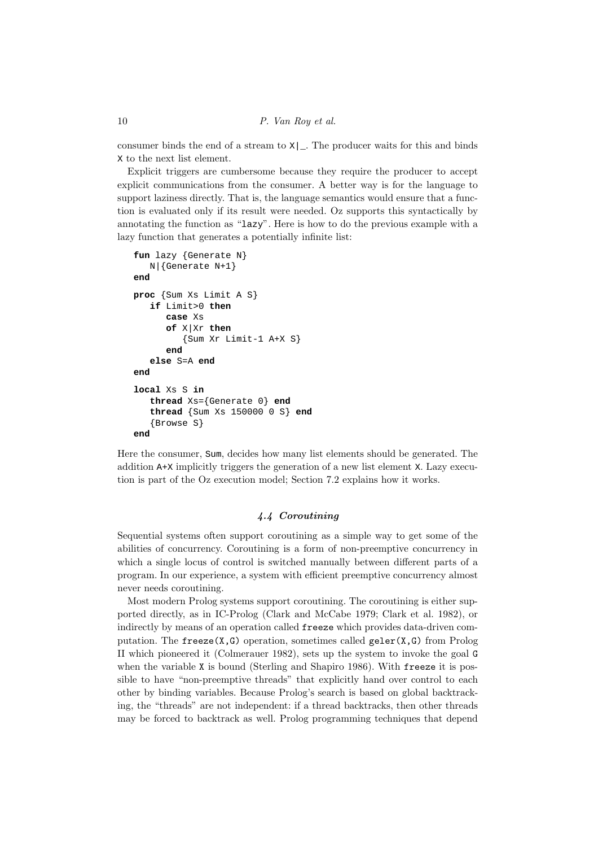consumer binds the end of a stream to  $x\vert_{-}$ . The producer waits for this and binds X to the next list element.

Explicit triggers are cumbersome because they require the producer to accept explicit communications from the consumer. A better way is for the language to support laziness directly. That is, the language semantics would ensure that a function is evaluated only if its result were needed. Oz supports this syntactically by annotating the function as "lazy". Here is how to do the previous example with a lazy function that generates a potentially infinite list:

```
fun lazy {Generate N}
   N|{Generate N+1}
end
proc {Sum Xs Limit A S}
   if Limit>0 then
      case Xs
      of X|Xr then
         \{Sum Xr Limit-1 A+X S\}end
   else S=A end
end
local Xs S in
   thread Xs={Generate 0} end
   thread {Sum Xs 150000 0 S} end
   {Browse S}
end
```
Here the consumer, Sum, decides how many list elements should be generated. The addition A+X implicitly triggers the generation of a new list element X. Lazy execution is part of the Oz execution model; Section 7.2 explains how it works.

## 4.4 Coroutining

Sequential systems often support coroutining as a simple way to get some of the abilities of concurrency. Coroutining is a form of non-preemptive concurrency in which a single locus of control is switched manually between different parts of a program. In our experience, a system with efficient preemptive concurrency almost never needs coroutining.

Most modern Prolog systems support coroutining. The coroutining is either supported directly, as in IC-Prolog (Clark and McCabe 1979; Clark et al. 1982), or indirectly by means of an operation called freeze which provides data-driven computation. The  ${\tt freeze}(X,G)$  operation, sometimes called  ${\tt geler}(X,G)$  from Prolog II which pioneered it (Colmerauer 1982), sets up the system to invoke the goal G when the variable X is bound (Sterling and Shapiro 1986). With freeze it is possible to have "non-preemptive threads" that explicitly hand over control to each other by binding variables. Because Prolog's search is based on global backtracking, the "threads" are not independent: if a thread backtracks, then other threads may be forced to backtrack as well. Prolog programming techniques that depend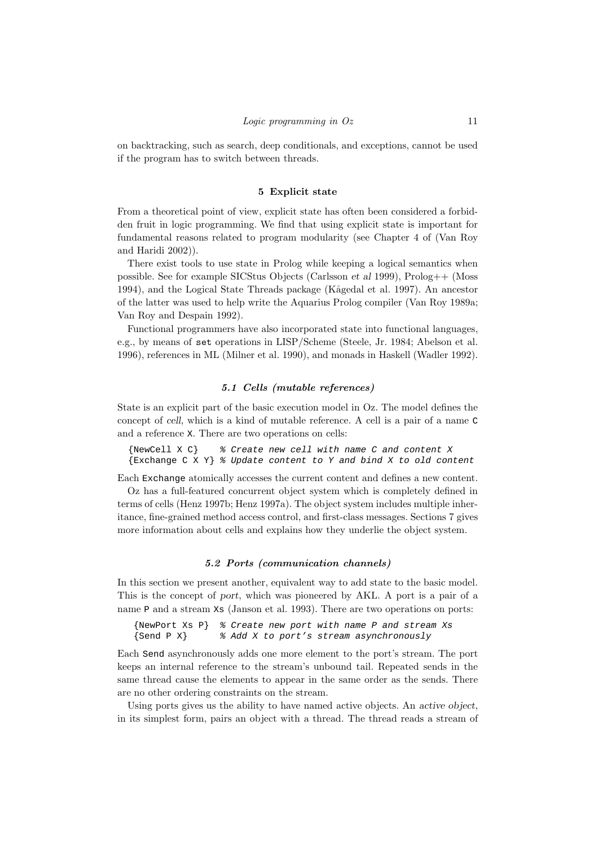on backtracking, such as search, deep conditionals, and exceptions, cannot be used if the program has to switch between threads.

# 5 Explicit state

From a theoretical point of view, explicit state has often been considered a forbidden fruit in logic programming. We find that using explicit state is important for fundamental reasons related to program modularity (see Chapter 4 of (Van Roy and Haridi 2002)).

There exist tools to use state in Prolog while keeping a logical semantics when possible. See for example SICStus Objects (Carlsson et al 1999), Prolog++ (Moss 1994), and the Logical State Threads package (K˚agedal et al. 1997). An ancestor of the latter was used to help write the Aquarius Prolog compiler (Van Roy 1989a; Van Roy and Despain 1992).

Functional programmers have also incorporated state into functional languages, e.g., by means of set operations in LISP/Scheme (Steele, Jr. 1984; Abelson et al. 1996), references in ML (Milner et al. 1990), and monads in Haskell (Wadler 1992).

# 5.1 Cells (mutable references)

State is an explicit part of the basic execution model in Oz. The model defines the concept of cell, which is a kind of mutable reference. A cell is a pair of a name C and a reference X. There are two operations on cells:

 ${NewCell} \tX C}$  % Create new cell with name C and content X {Exchange C X Y} % Update content to Y and bind X to old content

Each Exchange atomically accesses the current content and defines a new content.

Oz has a full-featured concurrent object system which is completely defined in terms of cells (Henz 1997b; Henz 1997a). The object system includes multiple inheritance, fine-grained method access control, and first-class messages. Sections 7 gives more information about cells and explains how they underlie the object system.

## 5.2 Ports (communication channels)

In this section we present another, equivalent way to add state to the basic model. This is the concept of port, which was pioneered by AKL. A port is a pair of a name P and a stream  $xs$  (Janson et al. 1993). There are two operations on ports:

```
{NewPort Xs P} % Create new port with name P and stream Xs
{Send P X} % Add X to port's stream asynchronously
```
Each Send asynchronously adds one more element to the port's stream. The port keeps an internal reference to the stream's unbound tail. Repeated sends in the same thread cause the elements to appear in the same order as the sends. There are no other ordering constraints on the stream.

Using ports gives us the ability to have named active objects. An active object, in its simplest form, pairs an object with a thread. The thread reads a stream of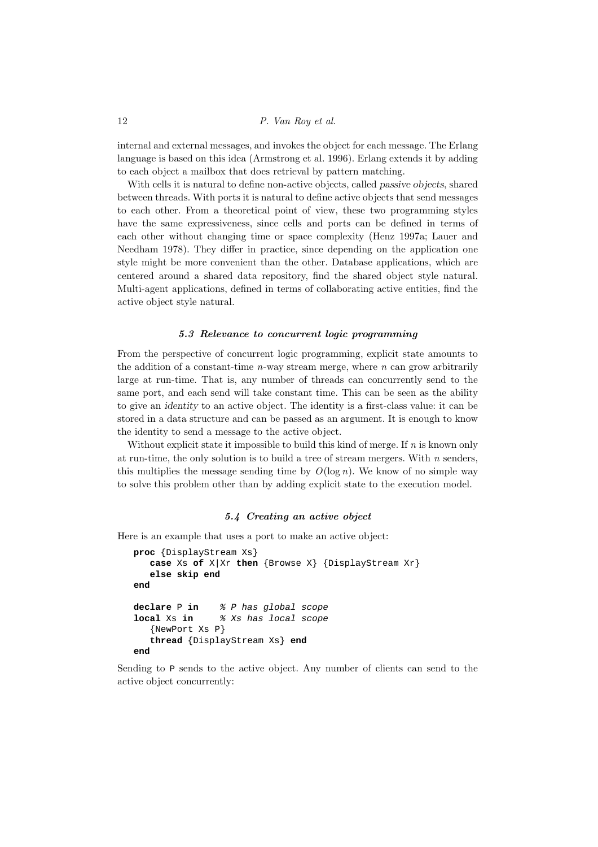internal and external messages, and invokes the object for each message. The Erlang language is based on this idea (Armstrong et al. 1996). Erlang extends it by adding to each object a mailbox that does retrieval by pattern matching.

With cells it is natural to define non-active objects, called passive objects, shared between threads. With ports it is natural to define active objects that send messages to each other. From a theoretical point of view, these two programming styles have the same expressiveness, since cells and ports can be defined in terms of each other without changing time or space complexity (Henz 1997a; Lauer and Needham 1978). They differ in practice, since depending on the application one style might be more convenient than the other. Database applications, which are centered around a shared data repository, find the shared object style natural. Multi-agent applications, defined in terms of collaborating active entities, find the active object style natural.

### 5.3 Relevance to concurrent logic programming

From the perspective of concurrent logic programming, explicit state amounts to the addition of a constant-time  $n$ -way stream merge, where  $n$  can grow arbitrarily large at run-time. That is, any number of threads can concurrently send to the same port, and each send will take constant time. This can be seen as the ability to give an identity to an active object. The identity is a first-class value: it can be stored in a data structure and can be passed as an argument. It is enough to know the identity to send a message to the active object.

Without explicit state it impossible to build this kind of merge. If  $n$  is known only at run-time, the only solution is to build a tree of stream mergers. With  $n$  senders, this multiplies the message sending time by  $O(\log n)$ . We know of no simple way to solve this problem other than by adding explicit state to the execution model.

#### 5.4 Creating an active object

Here is an example that uses a port to make an active object:

```
proc {DisplayStream Xs}
  case Xs of X|Xr then {Browse X} {DisplayStream Xr}
  else skip end
end
declare P in % P has global scope
local Xs in % Xs has local scope
   {NewPort Xs P}
  thread {DisplayStream Xs} end
end
```
Sending to P sends to the active object. Any number of clients can send to the active object concurrently: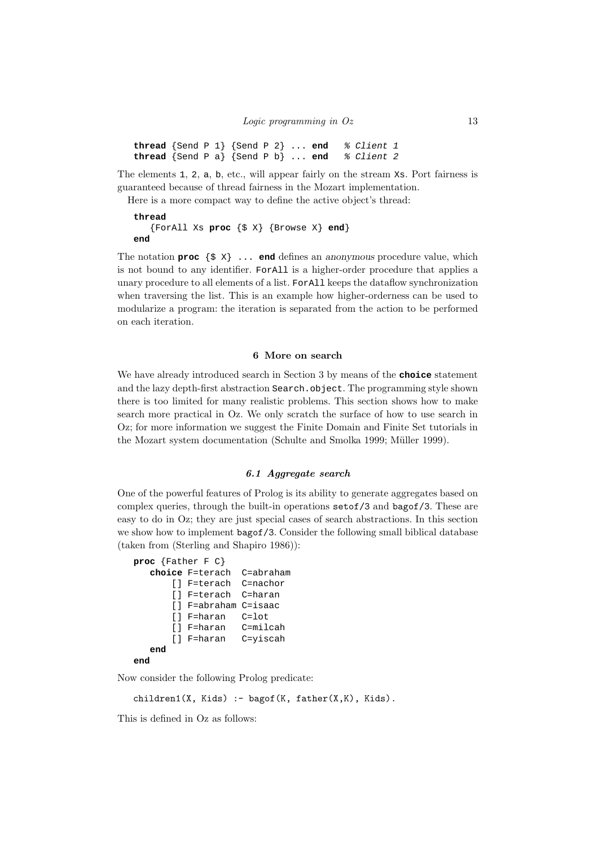**thread** {Send P 1} {Send P 2} ... **end** % Client 1 **thread** {Send P a} {Send P b} ... **end** % Client 2

The elements 1, 2, a, b, etc., will appear fairly on the stream Xs. Port fairness is guaranteed because of thread fairness in the Mozart implementation.

Here is a more compact way to define the active object's thread:

**thread** {ForAll Xs **proc** {\$ X} {Browse X} **end**} **end**

The notation **proc** {\$ X} ... **end** defines an anonymous procedure value, which is not bound to any identifier. ForAll is a higher-order procedure that applies a unary procedure to all elements of a list. ForAll keeps the dataflow synchronization when traversing the list. This is an example how higher-orderness can be used to modularize a program: the iteration is separated from the action to be performed on each iteration.

### 6 More on search

We have already introduced search in Section 3 by means of the **choice** statement and the lazy depth-first abstraction Search.object. The programming style shown there is too limited for many realistic problems. This section shows how to make search more practical in Oz. We only scratch the surface of how to use search in Oz; for more information we suggest the Finite Domain and Finite Set tutorials in the Mozart system documentation (Schulte and Smolka 1999; Müller 1999).

#### 6.1 Aggregate search

One of the powerful features of Prolog is its ability to generate aggregates based on complex queries, through the built-in operations setof/3 and bagof/3. These are easy to do in Oz; they are just special cases of search abstractions. In this section we show how to implement bagof/3. Consider the following small biblical database (taken from (Sterling and Shapiro 1986)):

```
proc {Father F C}
  choice F=terach C=abraham
      [] F=terach C=nachor
      [] F=terach C=haran
      [] F=abraham C=isaac
      [] F=haran C=lot
      [] F=haran C=milcah
      [] F=haran C=yiscah
  end
end
```
Now consider the following Prolog predicate:

```
children1(X, Kids) :- bagof(K, father(X,K), Kids).
```
This is defined in Oz as follows: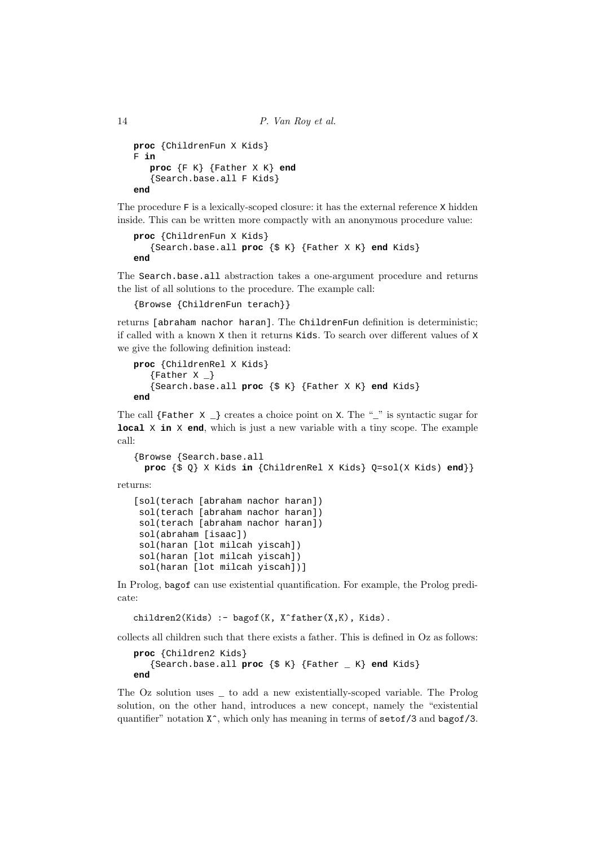```
proc {ChildrenFun X Kids}
F in
   proc {F K} {Father X K} end
   {Search.base.all F Kids}
```
**end**

The procedure F is a lexically-scoped closure: it has the external reference X hidden inside. This can be written more compactly with an anonymous procedure value:

```
proc {ChildrenFun X Kids}
   {Search.base.all proc {$ K} {Father X K} end Kids}
end
```
The Search.base.all abstraction takes a one-argument procedure and returns the list of all solutions to the procedure. The example call:

{Browse {ChildrenFun terach}}

returns [abraham nachor haran]. The ChildrenFun definition is deterministic; if called with a known X then it returns Kids. To search over different values of X we give the following definition instead:

```
proc {ChildrenRel X Kids}
   {Father X _}
   {Search.base.all proc {$ K} {Father X K} end Kids}
end
```
The call {Father  $X \rightarrow$  creates a choice point on X. The "\_" is syntactic sugar for **local** X **in** X **end**, which is just a new variable with a tiny scope. The example call:

```
{Browse {Search.base.all
 proc {$ Q} X Kids in {ChildrenRel X Kids} Q=sol(X Kids) end}}
```
returns:

```
[sol(terach [abraham nachor haran])
sol(terach [abraham nachor haran])
sol(terach [abraham nachor haran])
sol(abraham [isaac])
sol(haran [lot milcah yiscah])
sol(haran [lot milcah yiscah])
sol(haran [lot milcah yiscah])]
```
In Prolog, bagof can use existential quantification. For example, the Prolog predicate:

 $children2(Kids) :- bagof(K, X^father(X,K), Kids).$ 

collects all children such that there exists a father. This is defined in Oz as follows:

```
proc {Children2 Kids}
   {Search.base.all proc {$ K} {Father _ K} end Kids}
end
```
The Oz solution uses \_ to add a new existentially-scoped variable. The Prolog solution, on the other hand, introduces a new concept, namely the "existential quantifier" notation  $X^{\hat{}}$ , which only has meaning in terms of  $\text{setof}/3$  and  $\text{bagof}/3$ .

14 P. Van Roy et al.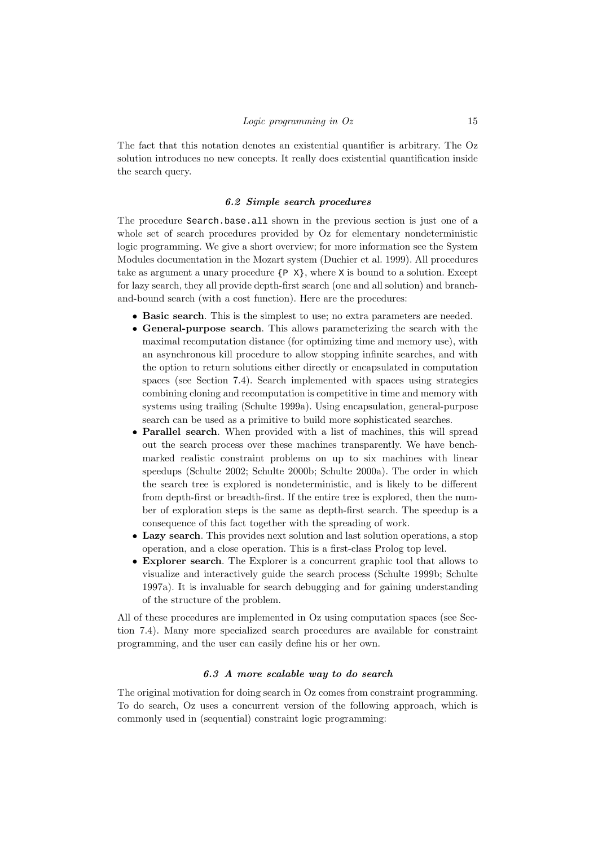The fact that this notation denotes an existential quantifier is arbitrary. The Oz solution introduces no new concepts. It really does existential quantification inside the search query.

### 6.2 Simple search procedures

The procedure Search.base.all shown in the previous section is just one of a whole set of search procedures provided by Oz for elementary nondeterministic logic programming. We give a short overview; for more information see the System Modules documentation in the Mozart system (Duchier et al. 1999). All procedures take as argument a unary procedure  $\{P \times \}\$ , where  $X$  is bound to a solution. Except for lazy search, they all provide depth-first search (one and all solution) and branchand-bound search (with a cost function). Here are the procedures:

- Basic search. This is the simplest to use; no extra parameters are needed.
- General-purpose search. This allows parameterizing the search with the maximal recomputation distance (for optimizing time and memory use), with an asynchronous kill procedure to allow stopping infinite searches, and with the option to return solutions either directly or encapsulated in computation spaces (see Section 7.4). Search implemented with spaces using strategies combining cloning and recomputation is competitive in time and memory with systems using trailing (Schulte 1999a). Using encapsulation, general-purpose search can be used as a primitive to build more sophisticated searches.
- Parallel search. When provided with a list of machines, this will spread out the search process over these machines transparently. We have benchmarked realistic constraint problems on up to six machines with linear speedups (Schulte 2002; Schulte 2000b; Schulte 2000a). The order in which the search tree is explored is nondeterministic, and is likely to be different from depth-first or breadth-first. If the entire tree is explored, then the number of exploration steps is the same as depth-first search. The speedup is a consequence of this fact together with the spreading of work.
- Lazy search. This provides next solution and last solution operations, a stop operation, and a close operation. This is a first-class Prolog top level.
- Explorer search. The Explorer is a concurrent graphic tool that allows to visualize and interactively guide the search process (Schulte 1999b; Schulte 1997a). It is invaluable for search debugging and for gaining understanding of the structure of the problem.

All of these procedures are implemented in Oz using computation spaces (see Section 7.4). Many more specialized search procedures are available for constraint programming, and the user can easily define his or her own.

#### 6.3 A more scalable way to do search

The original motivation for doing search in Oz comes from constraint programming. To do search, Oz uses a concurrent version of the following approach, which is commonly used in (sequential) constraint logic programming: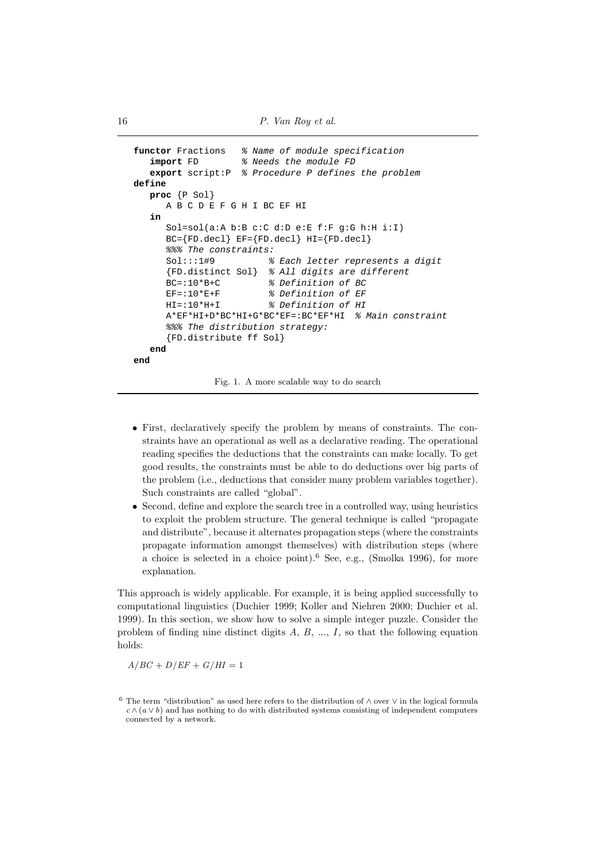```
functor Fractions % Name of module specification
  import FD % Needs the module FD
  export script:P % Procedure P defines the problem
define
  proc {P Sol}
     A B C D E F G H I BC EF HI
  in
     Sol=sol(a:A b:B c:C d:D e:E f:F g:G h:H i:I)
     BC={FD.decl} EF={FD.decl} HI={FD.decl}
     %%% The constraints:
     Sol:::1#9 % Each letter represents a digit
     {FD.distinct Sol} % All digits are different
     BC=:10*B+C % Definition of BC
     EF=:10*E+F % Definition of EF
     HI=:10*H+I % Definition of HI
     A*EF*HI+D*BC*HI+G*BC*EF=:BC*EF*HI % Main constraint
     %%% The distribution strategy:
     {FD.distribute ff Sol}
  end
end
```
Fig. 1. A more scalable way to do search

- First, declaratively specify the problem by means of constraints. The constraints have an operational as well as a declarative reading. The operational reading specifies the deductions that the constraints can make locally. To get good results, the constraints must be able to do deductions over big parts of the problem (i.e., deductions that consider many problem variables together). Such constraints are called "global".
- Second, define and explore the search tree in a controlled way, using heuristics to exploit the problem structure. The general technique is called "propagate and distribute", because it alternates propagation steps (where the constraints propagate information amongst themselves) with distribution steps (where a choice is selected in a choice point).<sup>6</sup> See, e.g., (Smolka 1996), for more explanation.

This approach is widely applicable. For example, it is being applied successfully to computational linguistics (Duchier 1999; Koller and Niehren 2000; Duchier et al. 1999). In this section, we show how to solve a simple integer puzzle. Consider the problem of finding nine distinct digits  $A, B, \ldots, I$ , so that the following equation holds:

 $A/BC + D/EF + G/HI = 1$ 

<sup>6</sup> The term "distribution" as used here refers to the distribution of ∧ over ∨ in the logical formula  $c \wedge (a \vee b)$  and has nothing to do with distributed systems consisting of independent computers connected by a network.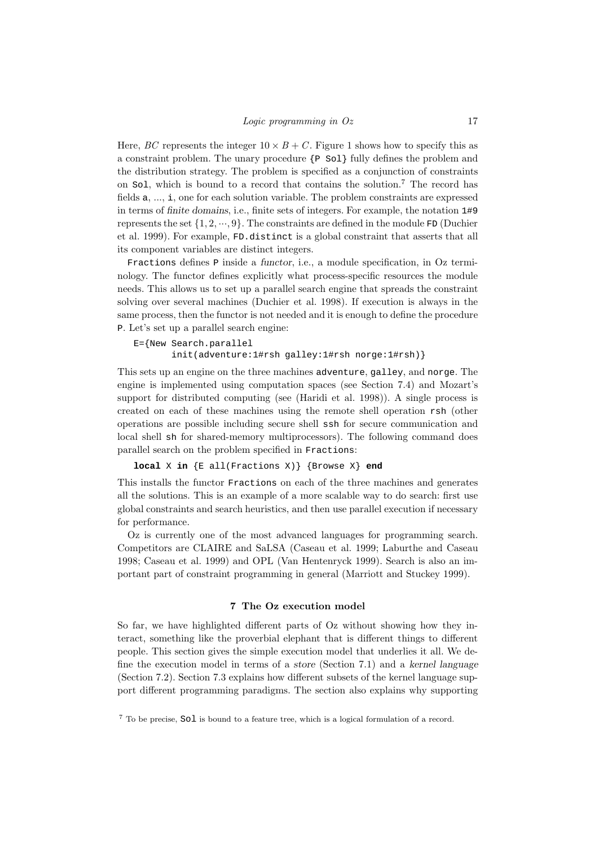Here, BC represents the integer  $10 \times B + C$ . Figure 1 shows how to specify this as a constraint problem. The unary procedure {P Sol} fully defines the problem and the distribution strategy. The problem is specified as a conjunction of constraints on Sol, which is bound to a record that contains the solution.<sup>7</sup> The record has fields a, ..., i, one for each solution variable. The problem constraints are expressed in terms of finite domains, i.e., finite sets of integers. For example, the notation 1#9 represents the set  $\{1, 2, \dots, 9\}$ . The constraints are defined in the module FD (Duchier et al. 1999). For example, FD.distinct is a global constraint that asserts that all its component variables are distinct integers.

Fractions defines P inside a functor, i.e., a module specification, in Oz terminology. The functor defines explicitly what process-specific resources the module needs. This allows us to set up a parallel search engine that spreads the constraint solving over several machines (Duchier et al. 1998). If execution is always in the same process, then the functor is not needed and it is enough to define the procedure P. Let's set up a parallel search engine:

```
E={New Search.parallel
       init(adventure:1#rsh galley:1#rsh norge:1#rsh)}
```
This sets up an engine on the three machines adventure, galley, and norge. The engine is implemented using computation spaces (see Section 7.4) and Mozart's support for distributed computing (see (Haridi et al. 1998)). A single process is created on each of these machines using the remote shell operation rsh (other operations are possible including secure shell ssh for secure communication and local shell sh for shared-memory multiprocessors). The following command does parallel search on the problem specified in Fractions:

**local** X **in** {E all(Fractions X)} {Browse X} **end**

This installs the functor Fractions on each of the three machines and generates all the solutions. This is an example of a more scalable way to do search: first use global constraints and search heuristics, and then use parallel execution if necessary for performance.

Oz is currently one of the most advanced languages for programming search. Competitors are CLAIRE and SaLSA (Caseau et al. 1999; Laburthe and Caseau 1998; Caseau et al. 1999) and OPL (Van Hentenryck 1999). Search is also an important part of constraint programming in general (Marriott and Stuckey 1999).

# 7 The Oz execution model

So far, we have highlighted different parts of Oz without showing how they interact, something like the proverbial elephant that is different things to different people. This section gives the simple execution model that underlies it all. We define the execution model in terms of a store (Section 7.1) and a kernel language (Section 7.2). Section 7.3 explains how different subsets of the kernel language support different programming paradigms. The section also explains why supporting

<sup>7</sup> To be precise, Sol is bound to a feature tree, which is a logical formulation of a record.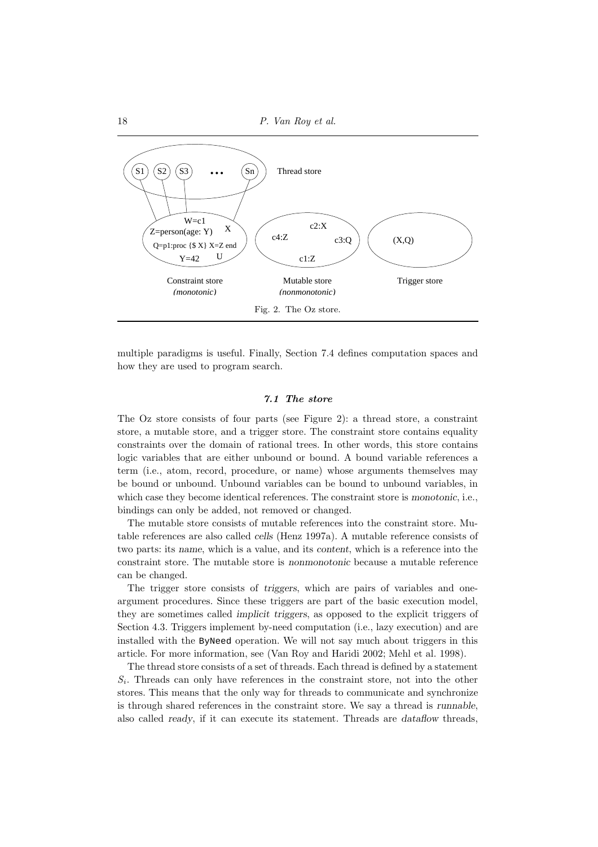

multiple paradigms is useful. Finally, Section 7.4 defines computation spaces and how they are used to program search.

# 7.1 The store

The Oz store consists of four parts (see Figure 2): a thread store, a constraint store, a mutable store, and a trigger store. The constraint store contains equality constraints over the domain of rational trees. In other words, this store contains logic variables that are either unbound or bound. A bound variable references a term (i.e., atom, record, procedure, or name) whose arguments themselves may be bound or unbound. Unbound variables can be bound to unbound variables, in which case they become identical references. The constraint store is monotonic, i.e., bindings can only be added, not removed or changed.

The mutable store consists of mutable references into the constraint store. Mutable references are also called cells (Henz 1997a). A mutable reference consists of two parts: its name, which is a value, and its content, which is a reference into the constraint store. The mutable store is nonmonotonic because a mutable reference can be changed.

The trigger store consists of triggers, which are pairs of variables and oneargument procedures. Since these triggers are part of the basic execution model, they are sometimes called implicit triggers, as opposed to the explicit triggers of Section 4.3. Triggers implement by-need computation (i.e., lazy execution) and are installed with the ByNeed operation. We will not say much about triggers in this article. For more information, see (Van Roy and Haridi 2002; Mehl et al. 1998).

The thread store consists of a set of threads. Each thread is defined by a statement  $S_i$ . Threads can only have references in the constraint store, not into the other stores. This means that the only way for threads to communicate and synchronize is through shared references in the constraint store. We say a thread is runnable, also called ready, if it can execute its statement. Threads are dataflow threads,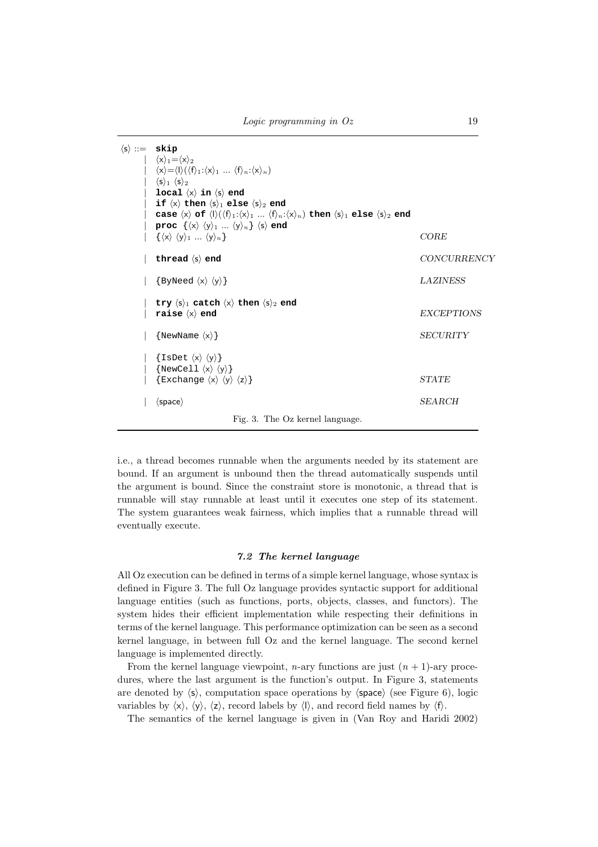```
\langle s \rangle ::= skip
        |\langle x \rangle_1 = \langle x \rangle_2\langle x \rangle = \langle I \rangle (\langle f \rangle_1 : \langle x \rangle_1 \dots \langle f \rangle_n : \langle x \rangle_n)\langle s \rangle_1 \langle s \rangle_2local \langle x \rangle in \langle s \rangle end
            \textbf{if} \ \langle x \rangle \ \textbf{then} \ \langle s \rangle_1 \ \textbf{else} \ \langle s \rangle_2 \ \textbf{end}case \langle x \rangle of \langle 1 \rangle (\langle f \rangle_1 : \langle x \rangle_1 ... \langle f \rangle_n : \langle x \rangle_n) then \langle s \rangle_1 else \langle s \rangle_2 end
            proc \{\langle x \rangle \langle y \rangle_1 \dots \langle y \rangle_n\} \langle s \rangle end
            \{\langle x \rangle \langle y \rangle_1 \dots \langle y \rangle_n\} CORE
        | thread \langle s \rangle end CONCURRENCY
        |\quad {ByNeed \langle x \rangle \langle y \rangle } LAZINESS
            \mathbf{try} \langle s \rangle_1 catch \langle x \rangle then \langle s \rangle_2 end
            \text{raise } \langle x \rangle \text{ end} EXCEPTIONS
             {NewName \langle x \rangle} {SECURITY}\{IsDet \langle x \rangle \langle y \rangle\}\{NewCell \langle x \rangle \langle y \rangle\}\{Exchange \langle x \rangle \langle y \rangle \langle z \rangle\} STATE
            \langlespace\rangle SEARCH
                                        Fig. 3. The Oz kernel language.
```
i.e., a thread becomes runnable when the arguments needed by its statement are bound. If an argument is unbound then the thread automatically suspends until the argument is bound. Since the constraint store is monotonic, a thread that is runnable will stay runnable at least until it executes one step of its statement. The system guarantees weak fairness, which implies that a runnable thread will eventually execute.

# 7.2 The kernel language

All Oz execution can be defined in terms of a simple kernel language, whose syntax is defined in Figure 3. The full Oz language provides syntactic support for additional language entities (such as functions, ports, objects, classes, and functors). The system hides their efficient implementation while respecting their definitions in terms of the kernel language. This performance optimization can be seen as a second kernel language, in between full Oz and the kernel language. The second kernel language is implemented directly.

From the kernel language viewpoint, *n*-ary functions are just  $(n + 1)$ -ary procedures, where the last argument is the function's output. In Figure 3, statements are denoted by  $\langle s \rangle$ , computation space operations by  $\langle space \rangle$  (see Figure 6), logic variables by  $\langle x \rangle$ ,  $\langle y \rangle$ ,  $\langle z \rangle$ , record labels by  $\langle \cdot \rangle$ , and record field names by  $\langle \cdot \rangle$ .

The semantics of the kernel language is given in (Van Roy and Haridi 2002)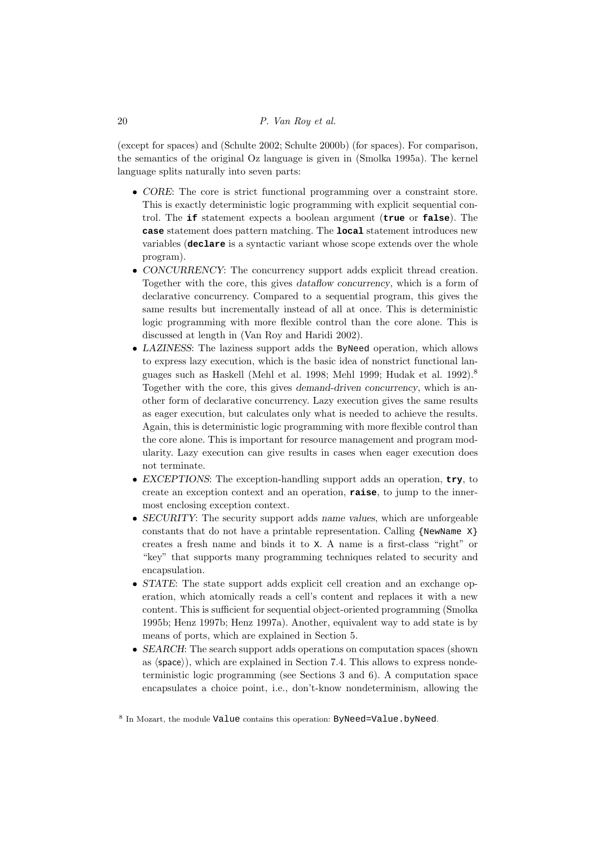(except for spaces) and (Schulte 2002; Schulte 2000b) (for spaces). For comparison, the semantics of the original Oz language is given in (Smolka 1995a). The kernel language splits naturally into seven parts:

- CORE: The core is strict functional programming over a constraint store. This is exactly deterministic logic programming with explicit sequential control. The **if** statement expects a boolean argument (**true** or **false**). The **case** statement does pattern matching. The **local** statement introduces new variables (**declare** is a syntactic variant whose scope extends over the whole program).
- CONCURRENCY: The concurrency support adds explicit thread creation. Together with the core, this gives dataflow concurrency, which is a form of declarative concurrency. Compared to a sequential program, this gives the same results but incrementally instead of all at once. This is deterministic logic programming with more flexible control than the core alone. This is discussed at length in (Van Roy and Haridi 2002).
- LAZINESS: The laziness support adds the ByNeed operation, which allows to express lazy execution, which is the basic idea of nonstrict functional languages such as Haskell (Mehl et al. 1998; Mehl 1999; Hudak et al. 1992).<sup>8</sup> Together with the core, this gives demand-driven concurrency, which is another form of declarative concurrency. Lazy execution gives the same results as eager execution, but calculates only what is needed to achieve the results. Again, this is deterministic logic programming with more flexible control than the core alone. This is important for resource management and program modularity. Lazy execution can give results in cases when eager execution does not terminate.
- EXCEPTIONS: The exception-handling support adds an operation, **try**, to create an exception context and an operation, **raise**, to jump to the innermost enclosing exception context.
- SECURITY: The security support adds name values, which are unforgeable constants that do not have a printable representation. Calling {NewName X} creates a fresh name and binds it to X. A name is a first-class "right" or "key" that supports many programming techniques related to security and encapsulation.
- STATE: The state support adds explicit cell creation and an exchange operation, which atomically reads a cell's content and replaces it with a new content. This is sufficient for sequential object-oriented programming (Smolka 1995b; Henz 1997b; Henz 1997a). Another, equivalent way to add state is by means of ports, which are explained in Section 5.
- SEARCH: The search support adds operations on computation spaces (shown as  $\langle space \rangle$ , which are explained in Section 7.4. This allows to express nondeterministic logic programming (see Sections 3 and 6). A computation space encapsulates a choice point, i.e., don't-know nondeterminism, allowing the

<sup>&</sup>lt;sup>8</sup> In Mozart, the module Value contains this operation: ByNeed=Value.byNeed.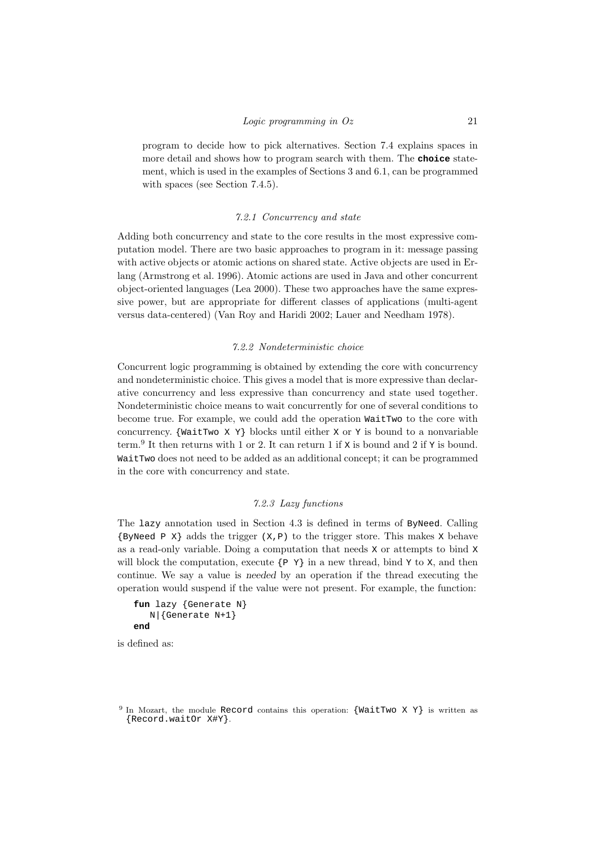program to decide how to pick alternatives. Section 7.4 explains spaces in more detail and shows how to program search with them. The **choice** statement, which is used in the examples of Sections 3 and 6.1, can be programmed with spaces (see Section 7.4.5).

#### 7.2.1 Concurrency and state

Adding both concurrency and state to the core results in the most expressive computation model. There are two basic approaches to program in it: message passing with active objects or atomic actions on shared state. Active objects are used in Erlang (Armstrong et al. 1996). Atomic actions are used in Java and other concurrent object-oriented languages (Lea 2000). These two approaches have the same expressive power, but are appropriate for different classes of applications (multi-agent versus data-centered) (Van Roy and Haridi 2002; Lauer and Needham 1978).

# 7.2.2 Nondeterministic choice

Concurrent logic programming is obtained by extending the core with concurrency and nondeterministic choice. This gives a model that is more expressive than declarative concurrency and less expressive than concurrency and state used together. Nondeterministic choice means to wait concurrently for one of several conditions to become true. For example, we could add the operation WaitTwo to the core with concurrency. {WaitTwo X Y} blocks until either X or Y is bound to a nonvariable term.<sup>9</sup> It then returns with 1 or 2. It can return 1 if X is bound and 2 if Y is bound. WaitTwo does not need to be added as an additional concept; it can be programmed in the core with concurrency and state.

# 7.2.3 Lazy functions

The lazy annotation used in Section 4.3 is defined in terms of ByNeed. Calling  $\{Bv\}$  and  $P(X, P)$  to the trigger store. This makes X behave as a read-only variable. Doing a computation that needs X or attempts to bind X will block the computation, execute  $\{P \ Y\}$  in a new thread, bind Y to X, and then continue. We say a value is needed by an operation if the thread executing the operation would suspend if the value were not present. For example, the function:

```
fun lazy {Generate N}
   N|{Generate N+1}
end
```
is defined as:

<sup>&</sup>lt;sup>9</sup> In Mozart, the module Record contains this operation: {WaitTwo X Y} is written as {Record.waitOr X#Y}.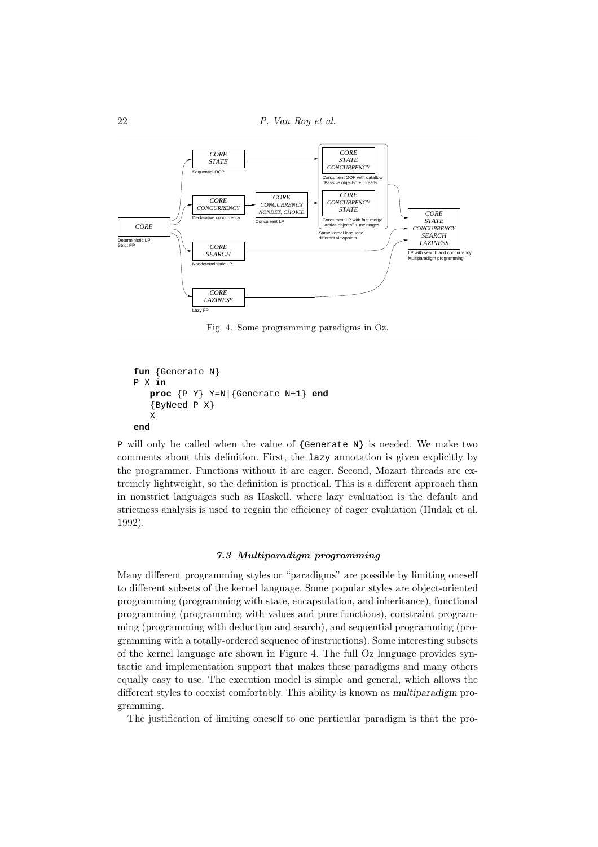

Fig. 4. Some programming paradigms in Oz.

```
fun {Generate N}
P X in
   proc {P Y} Y=N|{Generate N+1} end
   {ByNeed P X}
   X
end
```
P will only be called when the value of {Generate N} is needed. We make two comments about this definition. First, the lazy annotation is given explicitly by the programmer. Functions without it are eager. Second, Mozart threads are extremely lightweight, so the definition is practical. This is a different approach than in nonstrict languages such as Haskell, where lazy evaluation is the default and strictness analysis is used to regain the efficiency of eager evaluation (Hudak et al. 1992).

# 7.3 Multiparadigm programming

Many different programming styles or "paradigms" are possible by limiting oneself to different subsets of the kernel language. Some popular styles are object-oriented programming (programming with state, encapsulation, and inheritance), functional programming (programming with values and pure functions), constraint programming (programming with deduction and search), and sequential programming (programming with a totally-ordered sequence of instructions). Some interesting subsets of the kernel language are shown in Figure 4. The full Oz language provides syntactic and implementation support that makes these paradigms and many others equally easy to use. The execution model is simple and general, which allows the different styles to coexist comfortably. This ability is known as multiparadigm programming.

The justification of limiting oneself to one particular paradigm is that the pro-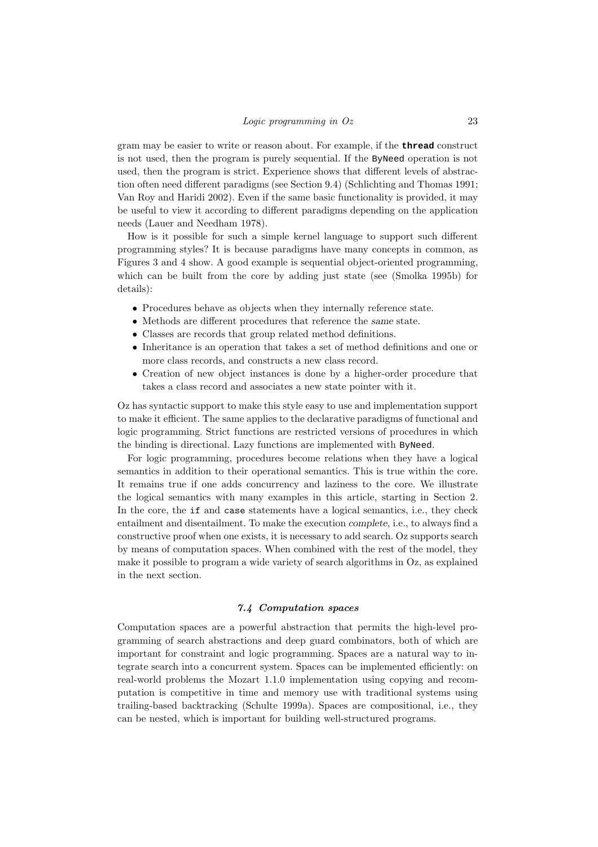gram may be easier to write or reason about. For example, if the **thread** construct is not used, then the program is purely sequential. If the ByNeed operation is not used, then the program is strict. Experience shows that different levels of abstraction often need different paradigms (see Section 9.4) (Schlichting and Thomas 1991; Van Roy and Haridi 2002). Even if the same basic functionality is provided, it may be useful to view it according to different paradigms depending on the application needs (Lauer and Needham 1978).

How is it possible for such a simple kernel language to support such different programming styles? It is because paradigms have many concepts in common, as Figures 3 and 4 show. A good example is sequential object-oriented programming, which can be built from the core by adding just state (see (Smolka 1995b) for details):

- Procedures behave as objects when they internally reference state.
- Methods are different procedures that reference the same state.
- Classes are records that group related method definitions.
- Inheritance is an operation that takes a set of method definitions and one or more class records, and constructs a new class record.
- Creation of new object instances is done by a higher-order procedure that takes a class record and associates a new state pointer with it.

Oz has syntactic support to make this style easy to use and implementation support to make it efficient. The same applies to the declarative paradigms of functional and logic programming. Strict functions are restricted versions of procedures in which the binding is directional. Lazy functions are implemented with ByNeed.

For logic programming, procedures become relations when they have a logical semantics in addition to their operational semantics. This is true within the core. It remains true if one adds concurrency and laziness to the core. We illustrate the logical semantics with many examples in this article, starting in Section 2. In the core, the if and case statements have a logical semantics, i.e., they check entailment and disentailment. To make the execution complete, i.e., to always find a constructive proof when one exists, it is necessary to add search. Oz supports search by means of computation spaces. When combined with the rest of the model, they make it possible to program a wide variety of search algorithms in Oz, as explained in the next section.

# 7.4 Computation spaces

Computation spaces are a powerful abstraction that permits the high-level programming of search abstractions and deep guard combinators, both of which are important for constraint and logic programming. Spaces are a natural way to integrate search into a concurrent system. Spaces can be implemented efficiently: on real-world problems the Mozart 1.1.0 implementation using copying and recomputation is competitive in time and memory use with traditional systems using trailing-based backtracking (Schulte 1999a). Spaces are compositional, i.e., they can be nested, which is important for building well-structured programs.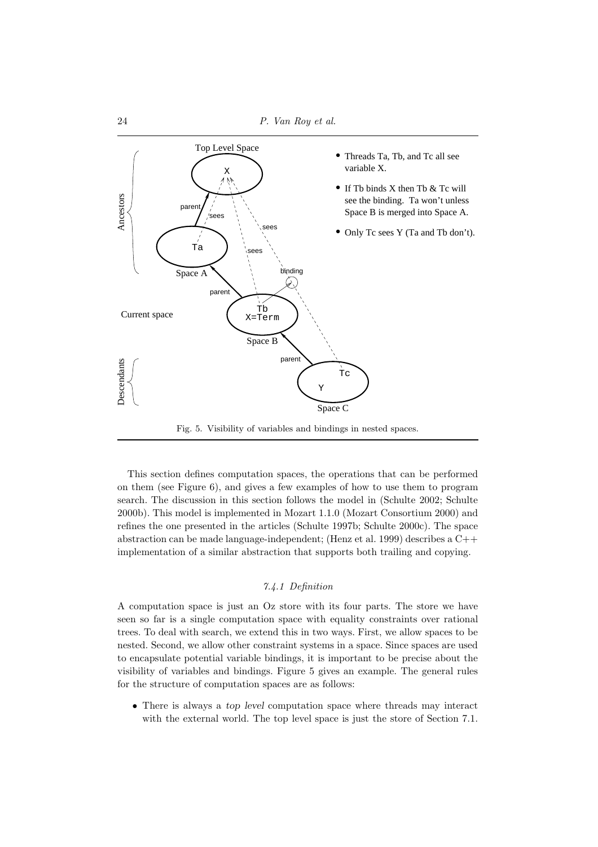

Fig. 5. Visibility of variables and bindings in nested spaces.

This section defines computation spaces, the operations that can be performed on them (see Figure 6), and gives a few examples of how to use them to program search. The discussion in this section follows the model in (Schulte 2002; Schulte 2000b). This model is implemented in Mozart 1.1.0 (Mozart Consortium 2000) and refines the one presented in the articles (Schulte 1997b; Schulte 2000c). The space abstraction can be made language-independent; (Henz et al. 1999) describes a C++ implementation of a similar abstraction that supports both trailing and copying.

# 7.4.1 Definition

A computation space is just an Oz store with its four parts. The store we have seen so far is a single computation space with equality constraints over rational trees. To deal with search, we extend this in two ways. First, we allow spaces to be nested. Second, we allow other constraint systems in a space. Since spaces are used to encapsulate potential variable bindings, it is important to be precise about the visibility of variables and bindings. Figure 5 gives an example. The general rules for the structure of computation spaces are as follows:

• There is always a top level computation space where threads may interact with the external world. The top level space is just the store of Section 7.1.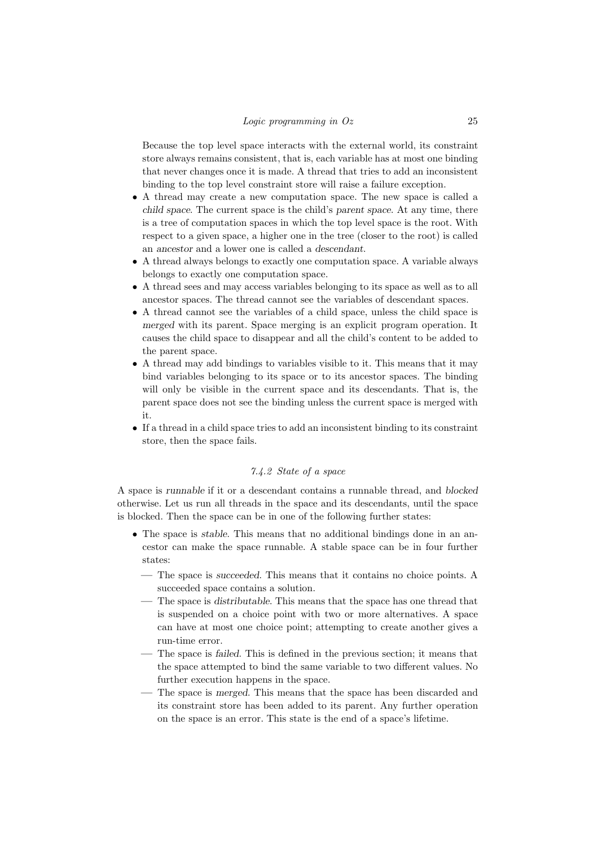Because the top level space interacts with the external world, its constraint store always remains consistent, that is, each variable has at most one binding that never changes once it is made. A thread that tries to add an inconsistent binding to the top level constraint store will raise a failure exception.

- A thread may create a new computation space. The new space is called a child space. The current space is the child's parent space. At any time, there is a tree of computation spaces in which the top level space is the root. With respect to a given space, a higher one in the tree (closer to the root) is called an ancestor and a lower one is called a descendant.
- A thread always belongs to exactly one computation space. A variable always belongs to exactly one computation space.
- A thread sees and may access variables belonging to its space as well as to all ancestor spaces. The thread cannot see the variables of descendant spaces.
- A thread cannot see the variables of a child space, unless the child space is merged with its parent. Space merging is an explicit program operation. It causes the child space to disappear and all the child's content to be added to the parent space.
- A thread may add bindings to variables visible to it. This means that it may bind variables belonging to its space or to its ancestor spaces. The binding will only be visible in the current space and its descendants. That is, the parent space does not see the binding unless the current space is merged with it.
- If a thread in a child space tries to add an inconsistent binding to its constraint store, then the space fails.

# 7.4.2 State of a space

A space is runnable if it or a descendant contains a runnable thread, and blocked otherwise. Let us run all threads in the space and its descendants, until the space is blocked. Then the space can be in one of the following further states:

- The space is stable. This means that no additional bindings done in an ancestor can make the space runnable. A stable space can be in four further states:
	- The space is succeeded. This means that it contains no choice points. A succeeded space contains a solution.
	- The space is distributable. This means that the space has one thread that is suspended on a choice point with two or more alternatives. A space can have at most one choice point; attempting to create another gives a run-time error.
	- The space is failed. This is defined in the previous section; it means that the space attempted to bind the same variable to two different values. No further execution happens in the space.
	- The space is merged. This means that the space has been discarded and its constraint store has been added to its parent. Any further operation on the space is an error. This state is the end of a space's lifetime.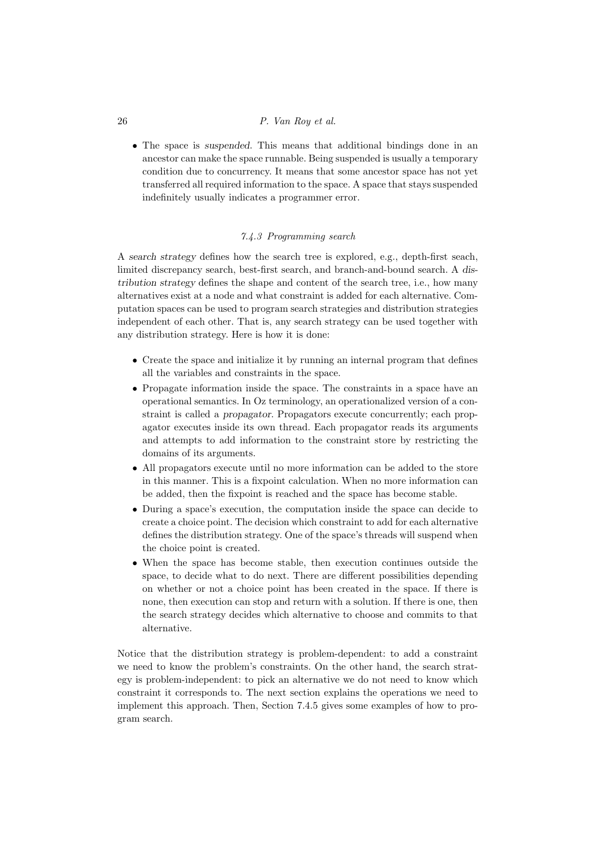• The space is suspended. This means that additional bindings done in an ancestor can make the space runnable. Being suspended is usually a temporary condition due to concurrency. It means that some ancestor space has not yet transferred all required information to the space. A space that stays suspended indefinitely usually indicates a programmer error.

# 7.4.3 Programming search

A search strategy defines how the search tree is explored, e.g., depth-first seach, limited discrepancy search, best-first search, and branch-and-bound search. A distribution strategy defines the shape and content of the search tree, i.e., how many alternatives exist at a node and what constraint is added for each alternative. Computation spaces can be used to program search strategies and distribution strategies independent of each other. That is, any search strategy can be used together with any distribution strategy. Here is how it is done:

- Create the space and initialize it by running an internal program that defines all the variables and constraints in the space.
- Propagate information inside the space. The constraints in a space have an operational semantics. In Oz terminology, an operationalized version of a constraint is called a propagator. Propagators execute concurrently; each propagator executes inside its own thread. Each propagator reads its arguments and attempts to add information to the constraint store by restricting the domains of its arguments.
- All propagators execute until no more information can be added to the store in this manner. This is a fixpoint calculation. When no more information can be added, then the fixpoint is reached and the space has become stable.
- During a space's execution, the computation inside the space can decide to create a choice point. The decision which constraint to add for each alternative defines the distribution strategy. One of the space's threads will suspend when the choice point is created.
- When the space has become stable, then execution continues outside the space, to decide what to do next. There are different possibilities depending on whether or not a choice point has been created in the space. If there is none, then execution can stop and return with a solution. If there is one, then the search strategy decides which alternative to choose and commits to that alternative.

Notice that the distribution strategy is problem-dependent: to add a constraint we need to know the problem's constraints. On the other hand, the search strategy is problem-independent: to pick an alternative we do not need to know which constraint it corresponds to. The next section explains the operations we need to implement this approach. Then, Section 7.4.5 gives some examples of how to program search.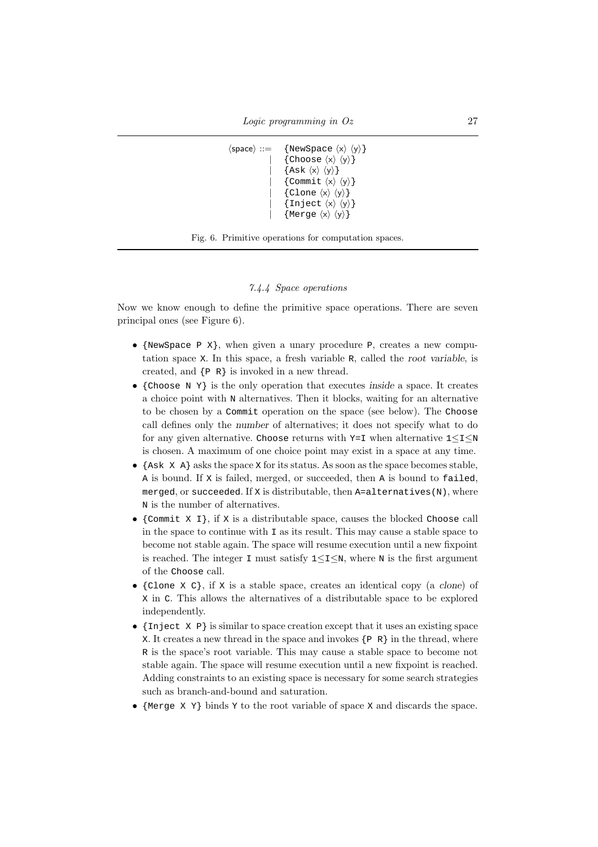```
\langle space \rangle ::= \{NewSpace \langle x \rangle \langle y \rangle\}\{Choose \langle x \rangle \langle y \rangle\}\{ \text{Ask } \langle x \rangle \langle y \rangle \}\{ Commit \langle x \rangle \langle y \rangle }
                                       \{ {\rm clone}\ \langle x \rangle \ \langle y \rangle \}\{Inject \langle x \rangle \langle y \rangle\}{ \text{Merge } \langle x \rangle \langle y \rangle }
```

|  |  | Fig. 6. Primitive operations for computation spaces. |  |
|--|--|------------------------------------------------------|--|
|  |  |                                                      |  |

# 7.4.4 Space operations

Now we know enough to define the primitive space operations. There are seven principal ones (see Figure 6).

- {NewSpace  $P X$ }, when given a unary procedure  $P$ , creates a new computation space X. In this space, a fresh variable R, called the root variable, is created, and {P R} is invoked in a new thread.
- {Choose N Y} is the only operation that executes inside a space. It creates a choice point with N alternatives. Then it blocks, waiting for an alternative to be chosen by a Commit operation on the space (see below). The Choose call defines only the number of alternatives; it does not specify what to do for any given alternative. Choose returns with  $Y=I$  when alternative  $1\leq I\leq N$ is chosen. A maximum of one choice point may exist in a space at any time.
- $\{Ask \ X \ A\}$  asks the space X for its status. As soon as the space becomes stable, A is bound. If X is failed, merged, or succeeded, then A is bound to failed, merged, or succeeded. If  $X$  is distributable, then  $A$ =alternatives(N), where N is the number of alternatives.
- {Commit  $X I$ }, if  $X$  is a distributable space, causes the blocked Choose call in the space to continue with I as its result. This may cause a stable space to become not stable again. The space will resume execution until a new fixpoint is reached. The integer I must satisfy  $1 \leq I \leq N$ , where N is the first argument of the Choose call.
- {Clone  $X \subset \$ , if  $X$  is a stable space, creates an identical copy (a *clone*) of X in C. This allows the alternatives of a distributable space to be explored independently.
- $\{Inject X P\}$  is similar to space creation except that it uses an existing space x. It creates a new thread in the space and invokes  $\{P \ R\}$  in the thread, where R is the space's root variable. This may cause a stable space to become not stable again. The space will resume execution until a new fixpoint is reached. Adding constraints to an existing space is necessary for some search strategies such as branch-and-bound and saturation.
- {Merge X Y} binds Y to the root variable of space X and discards the space.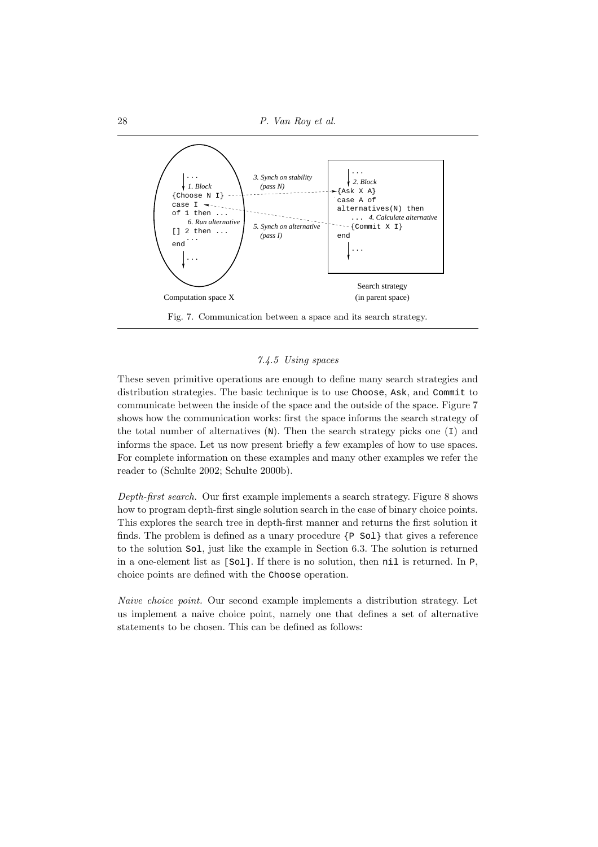

# 7.4.5 Using spaces

These seven primitive operations are enough to define many search strategies and distribution strategies. The basic technique is to use Choose, Ask, and Commit to communicate between the inside of the space and the outside of the space. Figure 7 shows how the communication works: first the space informs the search strategy of the total number of alternatives  $(N)$ . Then the search strategy picks one  $(I)$  and informs the space. Let us now present briefly a few examples of how to use spaces. For complete information on these examples and many other examples we refer the reader to (Schulte 2002; Schulte 2000b).

Depth-first search. Our first example implements a search strategy. Figure 8 shows how to program depth-first single solution search in the case of binary choice points. This explores the search tree in depth-first manner and returns the first solution it finds. The problem is defined as a unary procedure  $\{P \text{ Sol}\}\$  that gives a reference to the solution Sol, just like the example in Section 6.3. The solution is returned in a one-element list as [Sol]. If there is no solution, then nil is returned. In P, choice points are defined with the Choose operation.

Naive choice point. Our second example implements a distribution strategy. Let us implement a naive choice point, namely one that defines a set of alternative statements to be chosen. This can be defined as follows: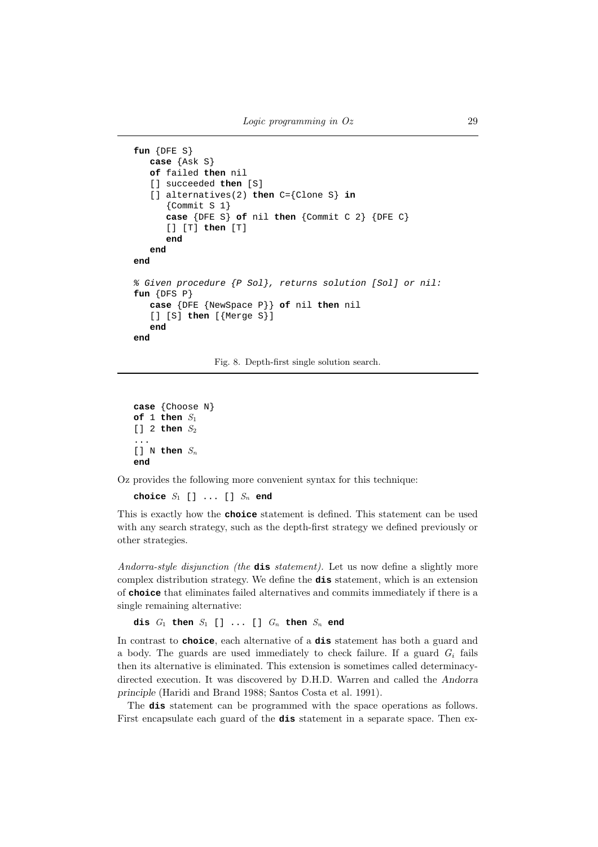```
fun {DFE S}
  case {Ask S}
  of failed then nil
   [] succeeded then [S]
   [] alternatives(2) then C={Clone S} in
      {Commit S 1}
      case {DFE S} of nil then {Commit C 2} {DFE C}
      [] [T] then [T]
      end
   end
end
% Given procedure {P Sol}, returns solution [Sol] or nil:
fun {DFS P}
   case {DFE {NewSpace P}} of nil then nil
   [] [S] then [{Merge S}]
   end
end
```
Fig. 8. Depth-first single solution search.

```
case {Choose N}
of 1 then S_1[] 2 then S_2...
[ ] N then S_nend
```
Oz provides the following more convenient syntax for this technique:

```
choice S_1 [] ... [] S_n end
```
This is exactly how the **choice** statement is defined. This statement can be used with any search strategy, such as the depth-first strategy we defined previously or other strategies.

Andorra-style disjunction (the **dis** statement). Let us now define a slightly more complex distribution strategy. We define the **dis** statement, which is an extension of **choice** that eliminates failed alternatives and commits immediately if there is a single remaining alternative:

dis  $G_1$  **then**  $S_1$  [] ... []  $G_n$  **then**  $S_n$  **end** 

In contrast to **choice**, each alternative of a **dis** statement has both a guard and a body. The guards are used immediately to check failure. If a guard  $G_i$  fails then its alternative is eliminated. This extension is sometimes called determinacydirected execution. It was discovered by D.H.D. Warren and called the Andorra principle (Haridi and Brand 1988; Santos Costa et al. 1991).

The **dis** statement can be programmed with the space operations as follows. First encapsulate each guard of the **dis** statement in a separate space. Then ex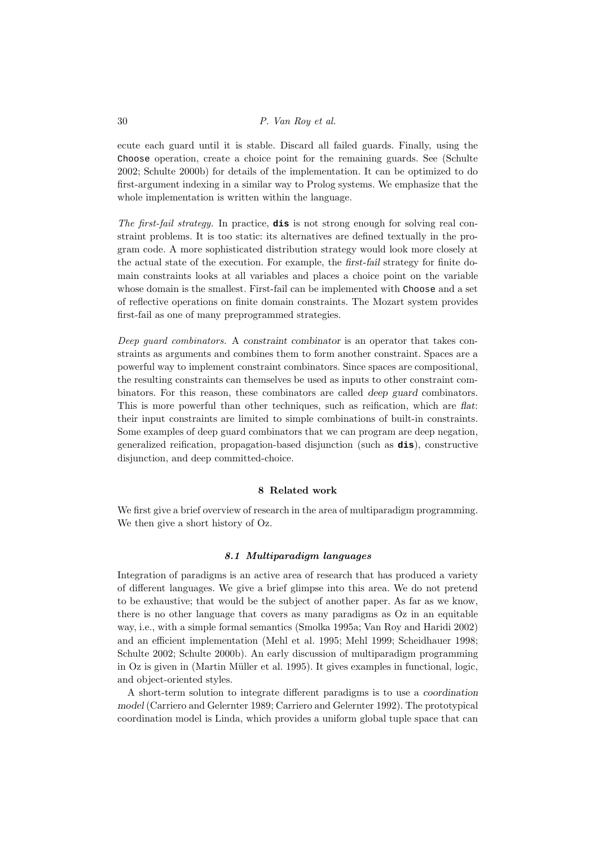ecute each guard until it is stable. Discard all failed guards. Finally, using the Choose operation, create a choice point for the remaining guards. See (Schulte 2002; Schulte 2000b) for details of the implementation. It can be optimized to do first-argument indexing in a similar way to Prolog systems. We emphasize that the whole implementation is written within the language.

The first-fail strategy. In practice, **dis** is not strong enough for solving real constraint problems. It is too static: its alternatives are defined textually in the program code. A more sophisticated distribution strategy would look more closely at the actual state of the execution. For example, the first-fail strategy for finite domain constraints looks at all variables and places a choice point on the variable whose domain is the smallest. First-fail can be implemented with Choose and a set of reflective operations on finite domain constraints. The Mozart system provides first-fail as one of many preprogrammed strategies.

Deep guard combinators. A constraint combinator is an operator that takes constraints as arguments and combines them to form another constraint. Spaces are a powerful way to implement constraint combinators. Since spaces are compositional, the resulting constraints can themselves be used as inputs to other constraint combinators. For this reason, these combinators are called deep guard combinators. This is more powerful than other techniques, such as reification, which are flat: their input constraints are limited to simple combinations of built-in constraints. Some examples of deep guard combinators that we can program are deep negation, generalized reification, propagation-based disjunction (such as **dis**), constructive disjunction, and deep committed-choice.

#### 8 Related work

We first give a brief overview of research in the area of multiparadigm programming. We then give a short history of Oz.

# 8.1 Multiparadigm languages

Integration of paradigms is an active area of research that has produced a variety of different languages. We give a brief glimpse into this area. We do not pretend to be exhaustive; that would be the subject of another paper. As far as we know, there is no other language that covers as many paradigms as Oz in an equitable way, i.e., with a simple formal semantics (Smolka 1995a; Van Roy and Haridi 2002) and an efficient implementation (Mehl et al. 1995; Mehl 1999; Scheidhauer 1998; Schulte 2002; Schulte 2000b). An early discussion of multiparadigm programming in  $Oz$  is given in (Martin Müller et al. 1995). It gives examples in functional, logic, and object-oriented styles.

A short-term solution to integrate different paradigms is to use a coordination model (Carriero and Gelernter 1989; Carriero and Gelernter 1992). The prototypical coordination model is Linda, which provides a uniform global tuple space that can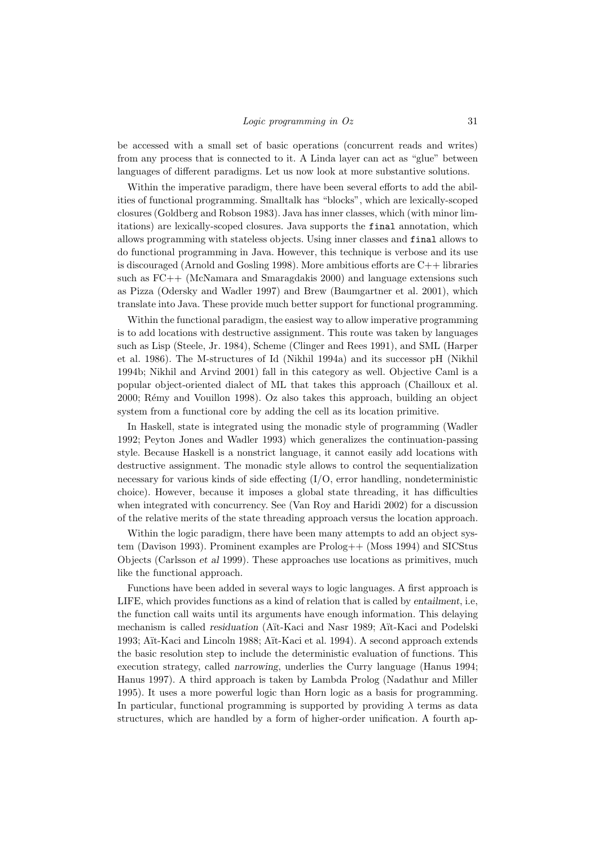#### $Loaic$  programming in  $Oz$  31

be accessed with a small set of basic operations (concurrent reads and writes) from any process that is connected to it. A Linda layer can act as "glue" between languages of different paradigms. Let us now look at more substantive solutions.

Within the imperative paradigm, there have been several efforts to add the abilities of functional programming. Smalltalk has "blocks", which are lexically-scoped closures (Goldberg and Robson 1983). Java has inner classes, which (with minor limitations) are lexically-scoped closures. Java supports the final annotation, which allows programming with stateless objects. Using inner classes and final allows to do functional programming in Java. However, this technique is verbose and its use is discouraged (Arnold and Gosling 1998). More ambitious efforts are  $C++$  libraries such as FC++ (McNamara and Smaragdakis 2000) and language extensions such as Pizza (Odersky and Wadler 1997) and Brew (Baumgartner et al. 2001), which translate into Java. These provide much better support for functional programming.

Within the functional paradigm, the easiest way to allow imperative programming is to add locations with destructive assignment. This route was taken by languages such as Lisp (Steele, Jr. 1984), Scheme (Clinger and Rees 1991), and SML (Harper et al. 1986). The M-structures of Id (Nikhil 1994a) and its successor pH (Nikhil 1994b; Nikhil and Arvind 2001) fall in this category as well. Objective Caml is a popular object-oriented dialect of ML that takes this approach (Chailloux et al. 2000; Rémy and Vouillon 1998). Oz also takes this approach, building an object system from a functional core by adding the cell as its location primitive.

In Haskell, state is integrated using the monadic style of programming (Wadler 1992; Peyton Jones and Wadler 1993) which generalizes the continuation-passing style. Because Haskell is a nonstrict language, it cannot easily add locations with destructive assignment. The monadic style allows to control the sequentialization necessary for various kinds of side effecting (I/O, error handling, nondeterministic choice). However, because it imposes a global state threading, it has difficulties when integrated with concurrency. See (Van Roy and Haridi 2002) for a discussion of the relative merits of the state threading approach versus the location approach.

Within the logic paradigm, there have been many attempts to add an object system (Davison 1993). Prominent examples are Prolog++ (Moss 1994) and SICStus Objects (Carlsson et al 1999). These approaches use locations as primitives, much like the functional approach.

Functions have been added in several ways to logic languages. A first approach is LIFE, which provides functions as a kind of relation that is called by entailment, i.e, the function call waits until its arguments have enough information. This delaying mechanism is called *residuation* (Aït-Kaci and Nasr 1989; Aït-Kaci and Podelski 1993; A¨ıt-Kaci and Lincoln 1988; A¨ıt-Kaci et al. 1994). A second approach extends the basic resolution step to include the deterministic evaluation of functions. This execution strategy, called narrowing, underlies the Curry language (Hanus 1994; Hanus 1997). A third approach is taken by Lambda Prolog (Nadathur and Miller 1995). It uses a more powerful logic than Horn logic as a basis for programming. In particular, functional programming is supported by providing  $\lambda$  terms as data structures, which are handled by a form of higher-order unification. A fourth ap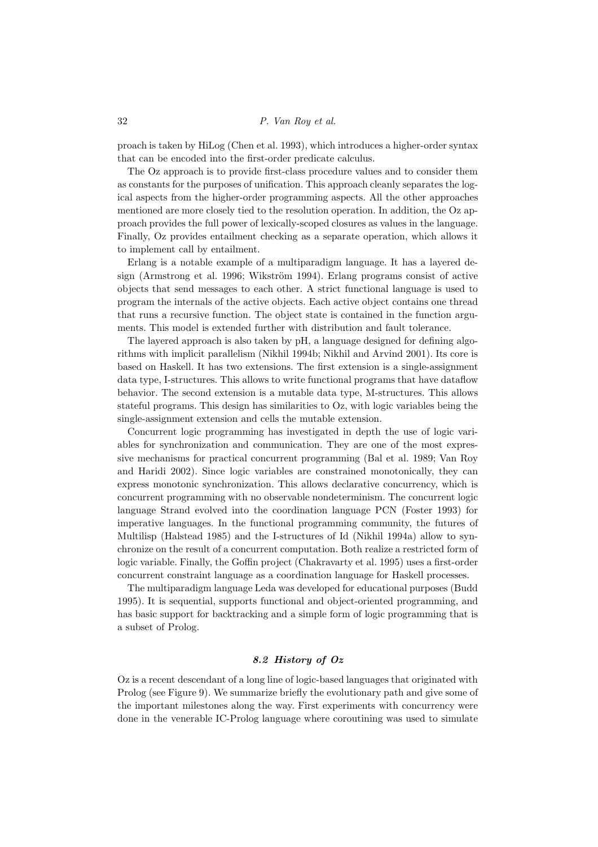proach is taken by HiLog (Chen et al. 1993), which introduces a higher-order syntax that can be encoded into the first-order predicate calculus.

The Oz approach is to provide first-class procedure values and to consider them as constants for the purposes of unification. This approach cleanly separates the logical aspects from the higher-order programming aspects. All the other approaches mentioned are more closely tied to the resolution operation. In addition, the Oz approach provides the full power of lexically-scoped closures as values in the language. Finally, Oz provides entailment checking as a separate operation, which allows it to implement call by entailment.

Erlang is a notable example of a multiparadigm language. It has a layered design (Armstrong et al. 1996; Wikström 1994). Erlang programs consist of active objects that send messages to each other. A strict functional language is used to program the internals of the active objects. Each active object contains one thread that runs a recursive function. The object state is contained in the function arguments. This model is extended further with distribution and fault tolerance.

The layered approach is also taken by pH, a language designed for defining algorithms with implicit parallelism (Nikhil 1994b; Nikhil and Arvind 2001). Its core is based on Haskell. It has two extensions. The first extension is a single-assignment data type, I-structures. This allows to write functional programs that have dataflow behavior. The second extension is a mutable data type, M-structures. This allows stateful programs. This design has similarities to Oz, with logic variables being the single-assignment extension and cells the mutable extension.

Concurrent logic programming has investigated in depth the use of logic variables for synchronization and communication. They are one of the most expressive mechanisms for practical concurrent programming (Bal et al. 1989; Van Roy and Haridi 2002). Since logic variables are constrained monotonically, they can express monotonic synchronization. This allows declarative concurrency, which is concurrent programming with no observable nondeterminism. The concurrent logic language Strand evolved into the coordination language PCN (Foster 1993) for imperative languages. In the functional programming community, the futures of Multilisp (Halstead 1985) and the I-structures of Id (Nikhil 1994a) allow to synchronize on the result of a concurrent computation. Both realize a restricted form of logic variable. Finally, the Goffin project (Chakravarty et al. 1995) uses a first-order concurrent constraint language as a coordination language for Haskell processes.

The multiparadigm language Leda was developed for educational purposes (Budd 1995). It is sequential, supports functional and object-oriented programming, and has basic support for backtracking and a simple form of logic programming that is a subset of Prolog.

# 8.2 History of Oz

Oz is a recent descendant of a long line of logic-based languages that originated with Prolog (see Figure 9). We summarize briefly the evolutionary path and give some of the important milestones along the way. First experiments with concurrency were done in the venerable IC-Prolog language where coroutining was used to simulate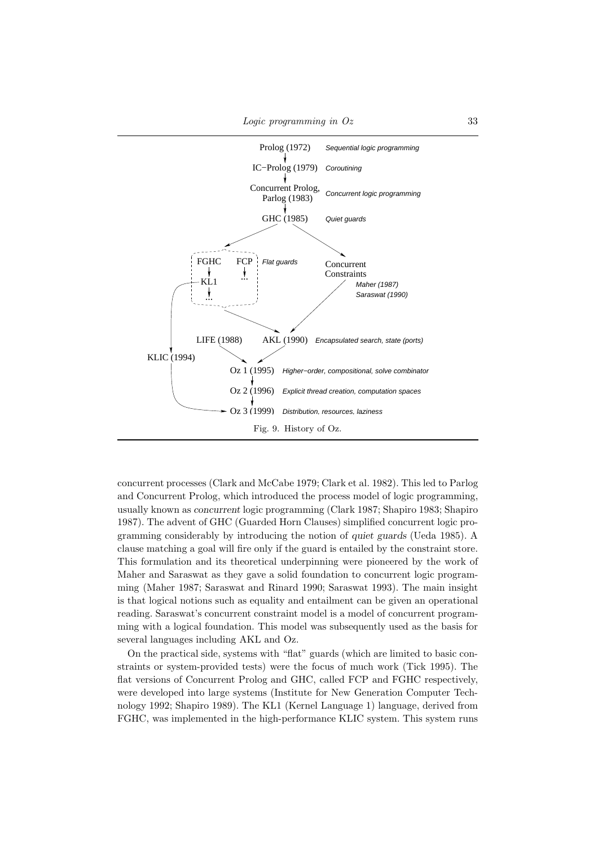

concurrent processes (Clark and McCabe 1979; Clark et al. 1982). This led to Parlog and Concurrent Prolog, which introduced the process model of logic programming, usually known as concurrent logic programming (Clark 1987; Shapiro 1983; Shapiro 1987). The advent of GHC (Guarded Horn Clauses) simplified concurrent logic programming considerably by introducing the notion of quiet guards (Ueda 1985). A clause matching a goal will fire only if the guard is entailed by the constraint store. This formulation and its theoretical underpinning were pioneered by the work of Maher and Saraswat as they gave a solid foundation to concurrent logic programming (Maher 1987; Saraswat and Rinard 1990; Saraswat 1993). The main insight is that logical notions such as equality and entailment can be given an operational reading. Saraswat's concurrent constraint model is a model of concurrent programming with a logical foundation. This model was subsequently used as the basis for several languages including AKL and Oz.

On the practical side, systems with "flat" guards (which are limited to basic constraints or system-provided tests) were the focus of much work (Tick 1995). The flat versions of Concurrent Prolog and GHC, called FCP and FGHC respectively, were developed into large systems (Institute for New Generation Computer Technology 1992; Shapiro 1989). The KL1 (Kernel Language 1) language, derived from FGHC, was implemented in the high-performance KLIC system. This system runs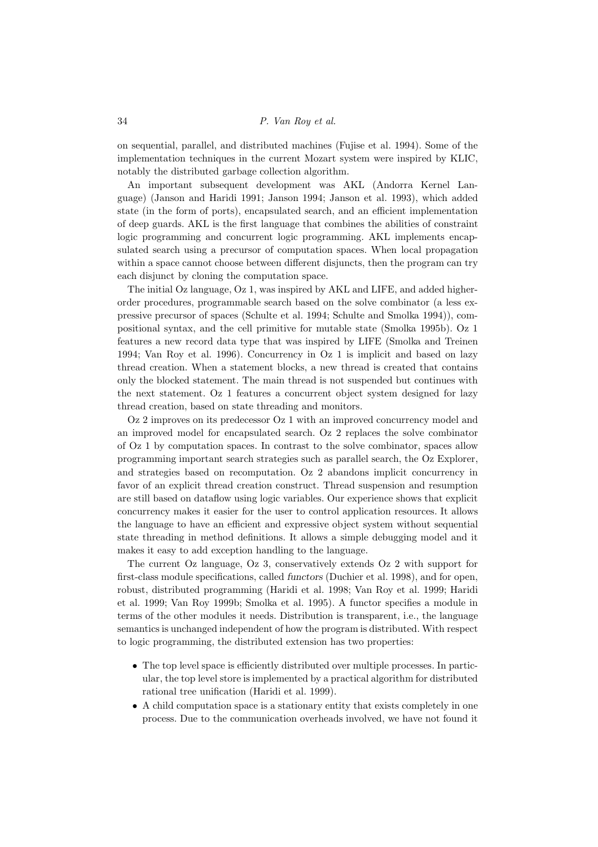on sequential, parallel, and distributed machines (Fujise et al. 1994). Some of the implementation techniques in the current Mozart system were inspired by KLIC, notably the distributed garbage collection algorithm.

An important subsequent development was AKL (Andorra Kernel Language) (Janson and Haridi 1991; Janson 1994; Janson et al. 1993), which added state (in the form of ports), encapsulated search, and an efficient implementation of deep guards. AKL is the first language that combines the abilities of constraint logic programming and concurrent logic programming. AKL implements encapsulated search using a precursor of computation spaces. When local propagation within a space cannot choose between different disjuncts, then the program can try each disjunct by cloning the computation space.

The initial Oz language, Oz 1, was inspired by AKL and LIFE, and added higherorder procedures, programmable search based on the solve combinator (a less expressive precursor of spaces (Schulte et al. 1994; Schulte and Smolka 1994)), compositional syntax, and the cell primitive for mutable state (Smolka 1995b). Oz 1 features a new record data type that was inspired by LIFE (Smolka and Treinen 1994; Van Roy et al. 1996). Concurrency in Oz 1 is implicit and based on lazy thread creation. When a statement blocks, a new thread is created that contains only the blocked statement. The main thread is not suspended but continues with the next statement. Oz 1 features a concurrent object system designed for lazy thread creation, based on state threading and monitors.

Oz 2 improves on its predecessor Oz 1 with an improved concurrency model and an improved model for encapsulated search. Oz 2 replaces the solve combinator of Oz 1 by computation spaces. In contrast to the solve combinator, spaces allow programming important search strategies such as parallel search, the Oz Explorer, and strategies based on recomputation. Oz 2 abandons implicit concurrency in favor of an explicit thread creation construct. Thread suspension and resumption are still based on dataflow using logic variables. Our experience shows that explicit concurrency makes it easier for the user to control application resources. It allows the language to have an efficient and expressive object system without sequential state threading in method definitions. It allows a simple debugging model and it makes it easy to add exception handling to the language.

The current Oz language, Oz 3, conservatively extends Oz 2 with support for first-class module specifications, called functors (Duchier et al. 1998), and for open, robust, distributed programming (Haridi et al. 1998; Van Roy et al. 1999; Haridi et al. 1999; Van Roy 1999b; Smolka et al. 1995). A functor specifies a module in terms of the other modules it needs. Distribution is transparent, i.e., the language semantics is unchanged independent of how the program is distributed. With respect to logic programming, the distributed extension has two properties:

- The top level space is efficiently distributed over multiple processes. In particular, the top level store is implemented by a practical algorithm for distributed rational tree unification (Haridi et al. 1999).
- A child computation space is a stationary entity that exists completely in one process. Due to the communication overheads involved, we have not found it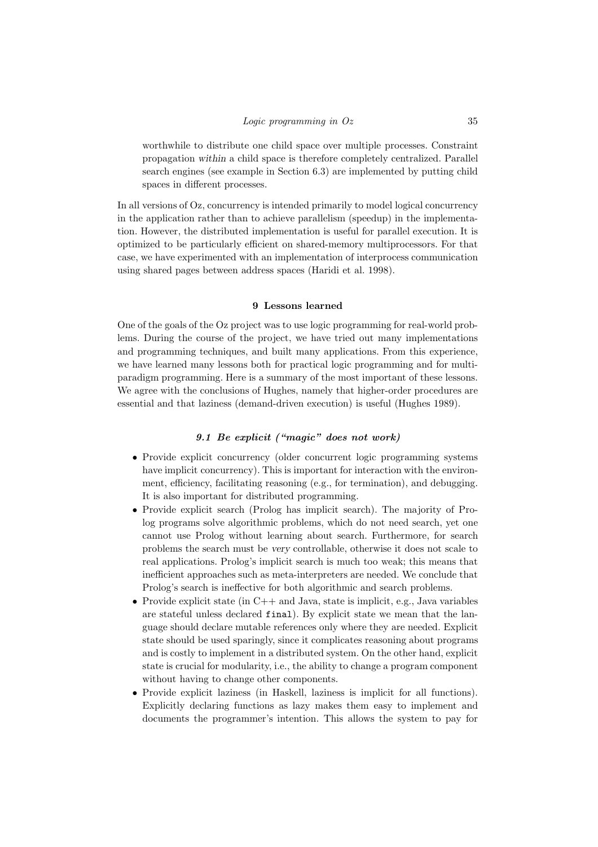worthwhile to distribute one child space over multiple processes. Constraint propagation within a child space is therefore completely centralized. Parallel search engines (see example in Section 6.3) are implemented by putting child spaces in different processes.

In all versions of Oz, concurrency is intended primarily to model logical concurrency in the application rather than to achieve parallelism (speedup) in the implementation. However, the distributed implementation is useful for parallel execution. It is optimized to be particularly efficient on shared-memory multiprocessors. For that case, we have experimented with an implementation of interprocess communication using shared pages between address spaces (Haridi et al. 1998).

# 9 Lessons learned

One of the goals of the Oz project was to use logic programming for real-world problems. During the course of the project, we have tried out many implementations and programming techniques, and built many applications. From this experience, we have learned many lessons both for practical logic programming and for multiparadigm programming. Here is a summary of the most important of these lessons. We agree with the conclusions of Hughes, namely that higher-order procedures are essential and that laziness (demand-driven execution) is useful (Hughes 1989).

# 9.1 Be explicit ("magic" does not work)

- Provide explicit concurrency (older concurrent logic programming systems have implicit concurrency). This is important for interaction with the environment, efficiency, facilitating reasoning (e.g., for termination), and debugging. It is also important for distributed programming.
- Provide explicit search (Prolog has implicit search). The majority of Prolog programs solve algorithmic problems, which do not need search, yet one cannot use Prolog without learning about search. Furthermore, for search problems the search must be very controllable, otherwise it does not scale to real applications. Prolog's implicit search is much too weak; this means that inefficient approaches such as meta-interpreters are needed. We conclude that Prolog's search is ineffective for both algorithmic and search problems.
- Provide explicit state (in  $C++$  and Java, state is implicit, e.g., Java variables are stateful unless declared final). By explicit state we mean that the language should declare mutable references only where they are needed. Explicit state should be used sparingly, since it complicates reasoning about programs and is costly to implement in a distributed system. On the other hand, explicit state is crucial for modularity, i.e., the ability to change a program component without having to change other components.
- Provide explicit laziness (in Haskell, laziness is implicit for all functions). Explicitly declaring functions as lazy makes them easy to implement and documents the programmer's intention. This allows the system to pay for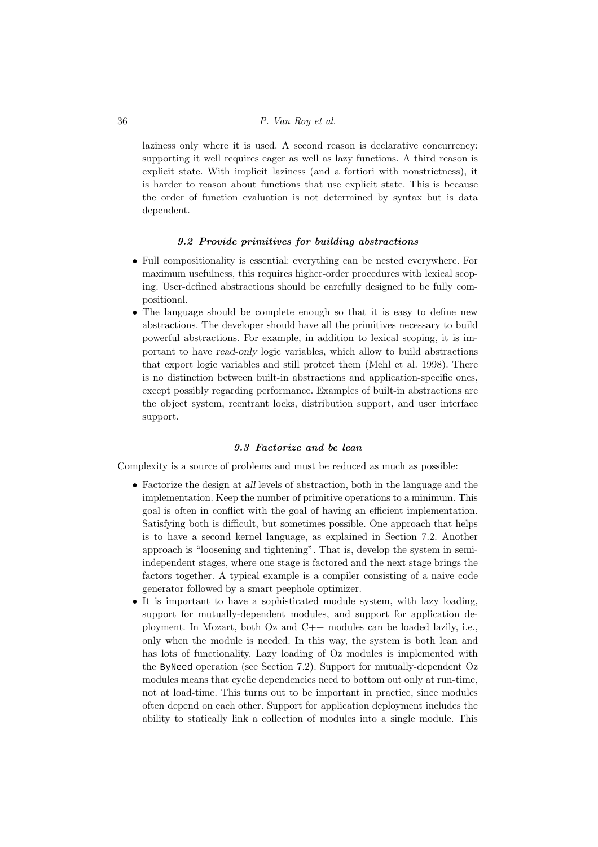laziness only where it is used. A second reason is declarative concurrency: supporting it well requires eager as well as lazy functions. A third reason is explicit state. With implicit laziness (and a fortiori with nonstrictness), it is harder to reason about functions that use explicit state. This is because the order of function evaluation is not determined by syntax but is data dependent.

#### 9.2 Provide primitives for building abstractions

- Full compositionality is essential: everything can be nested everywhere. For maximum usefulness, this requires higher-order procedures with lexical scoping. User-defined abstractions should be carefully designed to be fully compositional.
- The language should be complete enough so that it is easy to define new abstractions. The developer should have all the primitives necessary to build powerful abstractions. For example, in addition to lexical scoping, it is important to have read-only logic variables, which allow to build abstractions that export logic variables and still protect them (Mehl et al. 1998). There is no distinction between built-in abstractions and application-specific ones, except possibly regarding performance. Examples of built-in abstractions are the object system, reentrant locks, distribution support, and user interface support.

## 9.3 Factorize and be lean

Complexity is a source of problems and must be reduced as much as possible:

- Factorize the design at all levels of abstraction, both in the language and the implementation. Keep the number of primitive operations to a minimum. This goal is often in conflict with the goal of having an efficient implementation. Satisfying both is difficult, but sometimes possible. One approach that helps is to have a second kernel language, as explained in Section 7.2. Another approach is "loosening and tightening". That is, develop the system in semiindependent stages, where one stage is factored and the next stage brings the factors together. A typical example is a compiler consisting of a naive code generator followed by a smart peephole optimizer.
- It is important to have a sophisticated module system, with lazy loading, support for mutually-dependent modules, and support for application deployment. In Mozart, both Oz and C++ modules can be loaded lazily, i.e., only when the module is needed. In this way, the system is both lean and has lots of functionality. Lazy loading of Oz modules is implemented with the ByNeed operation (see Section 7.2). Support for mutually-dependent Oz modules means that cyclic dependencies need to bottom out only at run-time, not at load-time. This turns out to be important in practice, since modules often depend on each other. Support for application deployment includes the ability to statically link a collection of modules into a single module. This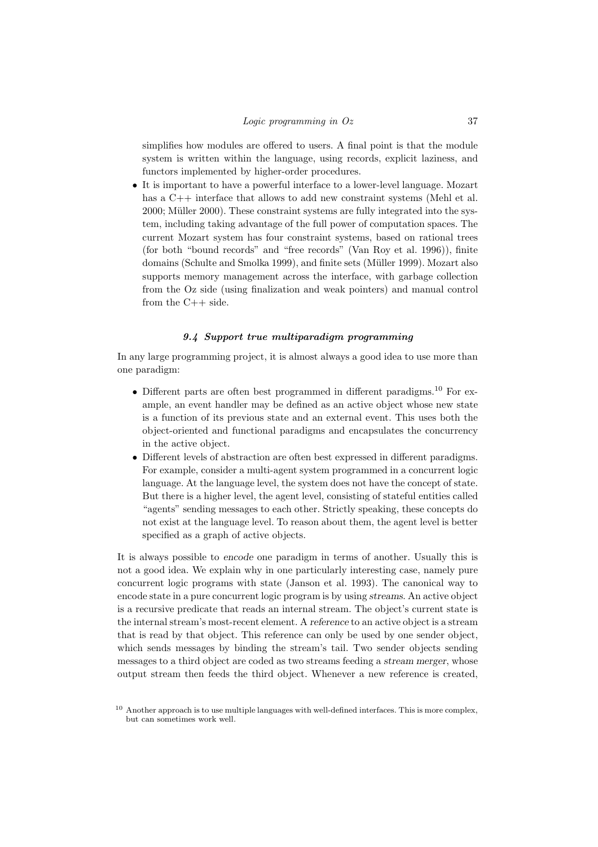simplifies how modules are offered to users. A final point is that the module system is written within the language, using records, explicit laziness, and functors implemented by higher-order procedures.

• It is important to have a powerful interface to a lower-level language. Mozart has a C++ interface that allows to add new constraint systems (Mehl et al. 2000; Müller 2000). These constraint systems are fully integrated into the system, including taking advantage of the full power of computation spaces. The current Mozart system has four constraint systems, based on rational trees (for both "bound records" and "free records" (Van Roy et al. 1996)), finite domains (Schulte and Smolka 1999), and finite sets (Müller 1999). Mozart also supports memory management across the interface, with garbage collection from the Oz side (using finalization and weak pointers) and manual control from the  $C++$  side.

# 9.4 Support true multiparadigm programming

In any large programming project, it is almost always a good idea to use more than one paradigm:

- Different parts are often best programmed in different paradigms.<sup>10</sup> For example, an event handler may be defined as an active object whose new state is a function of its previous state and an external event. This uses both the object-oriented and functional paradigms and encapsulates the concurrency in the active object.
- Different levels of abstraction are often best expressed in different paradigms. For example, consider a multi-agent system programmed in a concurrent logic language. At the language level, the system does not have the concept of state. But there is a higher level, the agent level, consisting of stateful entities called "agents" sending messages to each other. Strictly speaking, these concepts do not exist at the language level. To reason about them, the agent level is better specified as a graph of active objects.

It is always possible to encode one paradigm in terms of another. Usually this is not a good idea. We explain why in one particularly interesting case, namely pure concurrent logic programs with state (Janson et al. 1993). The canonical way to encode state in a pure concurrent logic program is by using streams. An active object is a recursive predicate that reads an internal stream. The object's current state is the internal stream's most-recent element. A reference to an active object is a stream that is read by that object. This reference can only be used by one sender object, which sends messages by binding the stream's tail. Two sender objects sending messages to a third object are coded as two streams feeding a stream merger, whose output stream then feeds the third object. Whenever a new reference is created,

 $10$  Another approach is to use multiple languages with well-defined interfaces. This is more complex, but can sometimes work well.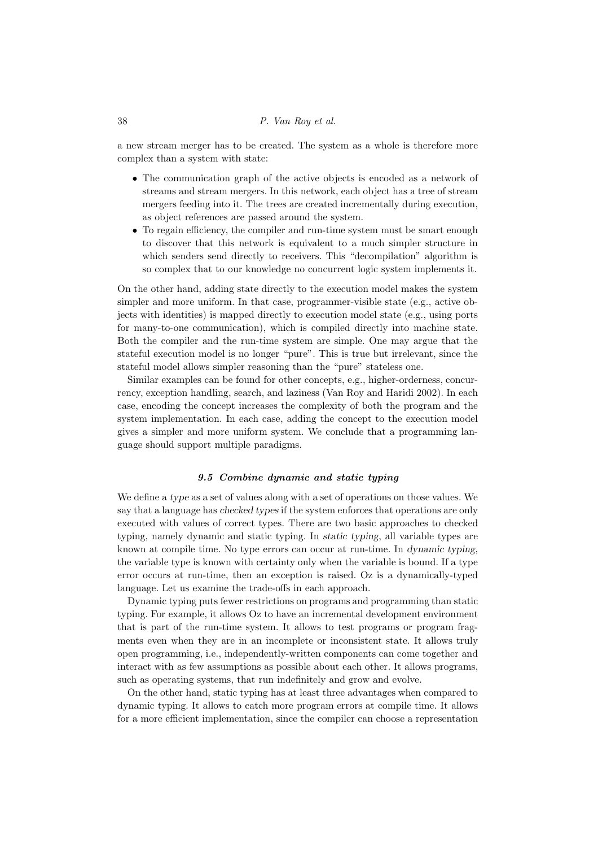a new stream merger has to be created. The system as a whole is therefore more complex than a system with state:

- The communication graph of the active objects is encoded as a network of streams and stream mergers. In this network, each object has a tree of stream mergers feeding into it. The trees are created incrementally during execution, as object references are passed around the system.
- To regain efficiency, the compiler and run-time system must be smart enough to discover that this network is equivalent to a much simpler structure in which senders send directly to receivers. This "decompilation" algorithm is so complex that to our knowledge no concurrent logic system implements it.

On the other hand, adding state directly to the execution model makes the system simpler and more uniform. In that case, programmer-visible state (e.g., active objects with identities) is mapped directly to execution model state (e.g., using ports for many-to-one communication), which is compiled directly into machine state. Both the compiler and the run-time system are simple. One may argue that the stateful execution model is no longer "pure". This is true but irrelevant, since the stateful model allows simpler reasoning than the "pure" stateless one.

Similar examples can be found for other concepts, e.g., higher-orderness, concurrency, exception handling, search, and laziness (Van Roy and Haridi 2002). In each case, encoding the concept increases the complexity of both the program and the system implementation. In each case, adding the concept to the execution model gives a simpler and more uniform system. We conclude that a programming language should support multiple paradigms.

# 9.5 Combine dynamic and static typing

We define a type as a set of values along with a set of operations on those values. We say that a language has checked types if the system enforces that operations are only executed with values of correct types. There are two basic approaches to checked typing, namely dynamic and static typing. In static typing, all variable types are known at compile time. No type errors can occur at run-time. In dynamic typing, the variable type is known with certainty only when the variable is bound. If a type error occurs at run-time, then an exception is raised. Oz is a dynamically-typed language. Let us examine the trade-offs in each approach.

Dynamic typing puts fewer restrictions on programs and programming than static typing. For example, it allows Oz to have an incremental development environment that is part of the run-time system. It allows to test programs or program fragments even when they are in an incomplete or inconsistent state. It allows truly open programming, i.e., independently-written components can come together and interact with as few assumptions as possible about each other. It allows programs, such as operating systems, that run indefinitely and grow and evolve.

On the other hand, static typing has at least three advantages when compared to dynamic typing. It allows to catch more program errors at compile time. It allows for a more efficient implementation, since the compiler can choose a representation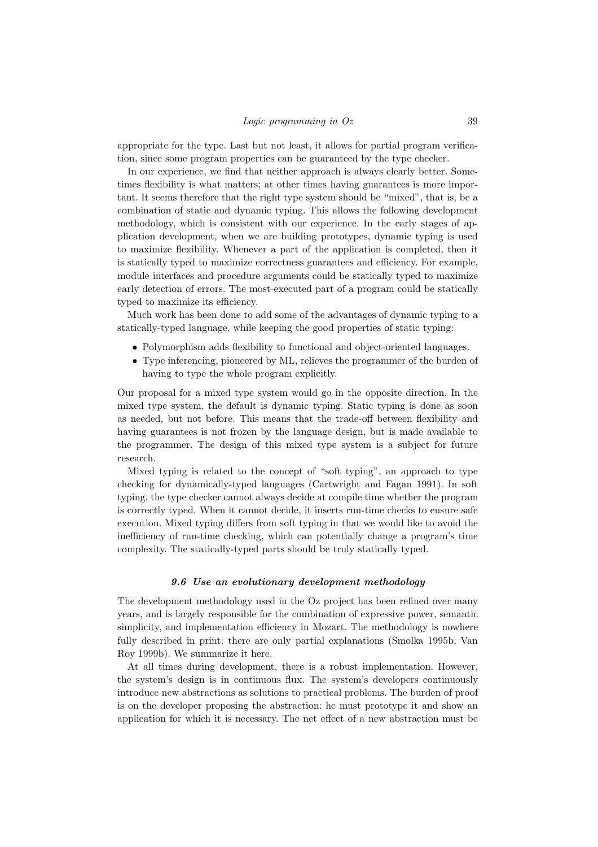appropriate for the type. Last but not least, it allows for partial program verification, since some program properties can be guaranteed by the type checker.

In our experience, we find that neither approach is always clearly better. Sometimes flexibility is what matters; at other times having guarantees is more important. It seems therefore that the right type system should be "mixed", that is, be a combination of static and dynamic typing. This allows the following development methodology, which is consistent with our experience. In the early stages of application development, when we are building prototypes, dynamic typing is used to maximize flexibility. Whenever a part of the application is completed, then it is statically typed to maximize correctness guarantees and efficiency. For example, module interfaces and procedure arguments could be statically typed to maximize early detection of errors. The most-executed part of a program could be statically typed to maximize its efficiency.

Much work has been done to add some of the advantages of dynamic typing to a statically-typed language, while keeping the good properties of static typing:

- Polymorphism adds flexibility to functional and object-oriented languages.
- Type inferencing, pioneered by ML, relieves the programmer of the burden of having to type the whole program explicitly.

Our proposal for a mixed type system would go in the opposite direction. In the mixed type system, the default is dynamic typing. Static typing is done as soon as needed, but not before. This means that the trade-off between flexibility and having guarantees is not frozen by the language design, but is made available to the programmer. The design of this mixed type system is a subject for future research.

Mixed typing is related to the concept of "soft typing", an approach to type checking for dynamically-typed languages (Cartwright and Fagan 1991). In soft typing, the type checker cannot always decide at compile time whether the program is correctly typed. When it cannot decide, it inserts run-time checks to ensure safe execution. Mixed typing differs from soft typing in that we would like to avoid the inefficiency of run-time checking, which can potentially change a program's time complexity. The statically-typed parts should be truly statically typed.

# 9.6 Use an evolutionary development methodology

The development methodology used in the Oz project has been refined over many years, and is largely responsible for the combination of expressive power, semantic simplicity, and implementation efficiency in Mozart. The methodology is nowhere fully described in print; there are only partial explanations (Smolka 1995b; Van Roy 1999b). We summarize it here.

At all times during development, there is a robust implementation. However, the system's design is in continuous flux. The system's developers continuously introduce new abstractions as solutions to practical problems. The burden of proof is on the developer proposing the abstraction: he must prototype it and show an application for which it is necessary. The net effect of a new abstraction must be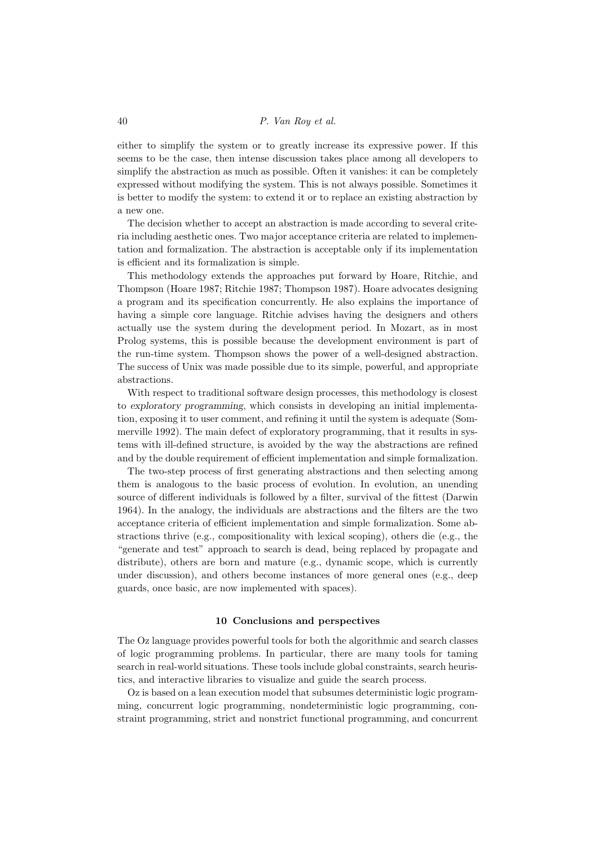either to simplify the system or to greatly increase its expressive power. If this seems to be the case, then intense discussion takes place among all developers to simplify the abstraction as much as possible. Often it vanishes: it can be completely expressed without modifying the system. This is not always possible. Sometimes it is better to modify the system: to extend it or to replace an existing abstraction by a new one.

The decision whether to accept an abstraction is made according to several criteria including aesthetic ones. Two major acceptance criteria are related to implementation and formalization. The abstraction is acceptable only if its implementation is efficient and its formalization is simple.

This methodology extends the approaches put forward by Hoare, Ritchie, and Thompson (Hoare 1987; Ritchie 1987; Thompson 1987). Hoare advocates designing a program and its specification concurrently. He also explains the importance of having a simple core language. Ritchie advises having the designers and others actually use the system during the development period. In Mozart, as in most Prolog systems, this is possible because the development environment is part of the run-time system. Thompson shows the power of a well-designed abstraction. The success of Unix was made possible due to its simple, powerful, and appropriate abstractions.

With respect to traditional software design processes, this methodology is closest to exploratory programming, which consists in developing an initial implementation, exposing it to user comment, and refining it until the system is adequate (Sommerville 1992). The main defect of exploratory programming, that it results in systems with ill-defined structure, is avoided by the way the abstractions are refined and by the double requirement of efficient implementation and simple formalization.

The two-step process of first generating abstractions and then selecting among them is analogous to the basic process of evolution. In evolution, an unending source of different individuals is followed by a filter, survival of the fittest (Darwin 1964). In the analogy, the individuals are abstractions and the filters are the two acceptance criteria of efficient implementation and simple formalization. Some abstractions thrive (e.g., compositionality with lexical scoping), others die (e.g., the "generate and test" approach to search is dead, being replaced by propagate and distribute), others are born and mature (e.g., dynamic scope, which is currently under discussion), and others become instances of more general ones (e.g., deep guards, once basic, are now implemented with spaces).

# 10 Conclusions and perspectives

The Oz language provides powerful tools for both the algorithmic and search classes of logic programming problems. In particular, there are many tools for taming search in real-world situations. These tools include global constraints, search heuristics, and interactive libraries to visualize and guide the search process.

Oz is based on a lean execution model that subsumes deterministic logic programming, concurrent logic programming, nondeterministic logic programming, constraint programming, strict and nonstrict functional programming, and concurrent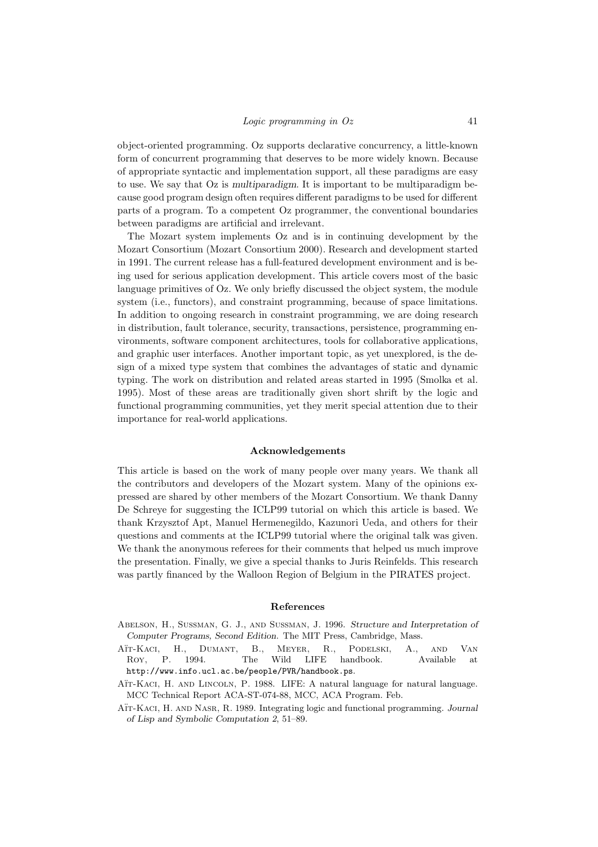object-oriented programming. Oz supports declarative concurrency, a little-known form of concurrent programming that deserves to be more widely known. Because of appropriate syntactic and implementation support, all these paradigms are easy to use. We say that Oz is multiparadigm. It is important to be multiparadigm because good program design often requires different paradigms to be used for different parts of a program. To a competent Oz programmer, the conventional boundaries between paradigms are artificial and irrelevant.

The Mozart system implements Oz and is in continuing development by the Mozart Consortium (Mozart Consortium 2000). Research and development started in 1991. The current release has a full-featured development environment and is being used for serious application development. This article covers most of the basic language primitives of Oz. We only briefly discussed the object system, the module system (i.e., functors), and constraint programming, because of space limitations. In addition to ongoing research in constraint programming, we are doing research in distribution, fault tolerance, security, transactions, persistence, programming environments, software component architectures, tools for collaborative applications, and graphic user interfaces. Another important topic, as yet unexplored, is the design of a mixed type system that combines the advantages of static and dynamic typing. The work on distribution and related areas started in 1995 (Smolka et al. 1995). Most of these areas are traditionally given short shrift by the logic and functional programming communities, yet they merit special attention due to their importance for real-world applications.

#### Acknowledgements

This article is based on the work of many people over many years. We thank all the contributors and developers of the Mozart system. Many of the opinions expressed are shared by other members of the Mozart Consortium. We thank Danny De Schreye for suggesting the ICLP99 tutorial on which this article is based. We thank Krzysztof Apt, Manuel Hermenegildo, Kazunori Ueda, and others for their questions and comments at the ICLP99 tutorial where the original talk was given. We thank the anonymous referees for their comments that helped us much improve the presentation. Finally, we give a special thanks to Juris Reinfelds. This research was partly financed by the Walloon Region of Belgium in the PIRATES project.

#### References

- Abelson, H., Sussman, G. J., and Sussman, J. 1996. Structure and Interpretation of Computer Programs, Second Edition. The MIT Press, Cambridge, Mass.
- AÏT-KACI, H., DUMANT, B., MEYER, R., PODELSKI, A., AND VAN Roy, P. 1994. The Wild LIFE handbook. Available at http://www.info.ucl.ac.be/people/PVR/handbook.ps.
- AÏT-KACI, H. AND LINCOLN, P. 1988. LIFE: A natural language for natural language. MCC Technical Report ACA-ST-074-88, MCC, ACA Program. Feb.
- AÏT-KACI, H. AND NASR, R. 1989. Integrating logic and functional programming. Journal of Lisp and Symbolic Computation 2, 51–89.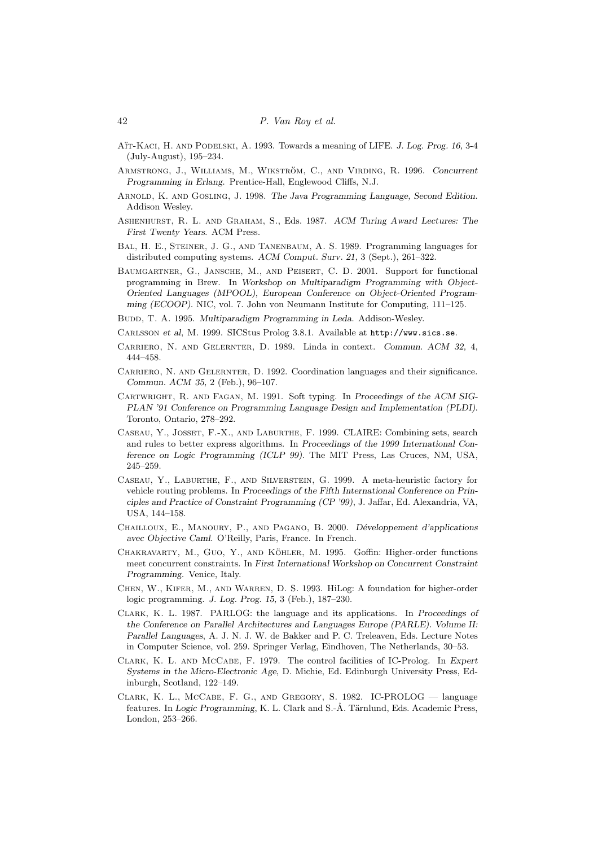- AÏT-KACI, H. AND PODELSKI, A. 1993. Towards a meaning of LIFE. J. Log. Prog. 16, 3-4 (July-August), 195–234.
- ARMSTRONG, J., WILLIAMS, M., WIKSTRÖM, C., AND VIRDING, R. 1996. Concurrent Programming in Erlang. Prentice-Hall, Englewood Cliffs, N.J.
- Arnold, K. and Gosling, J. 1998. The Java Programming Language, Second Edition. Addison Wesley.
- Ashenhurst, R. L. and Graham, S., Eds. 1987. ACM Turing Award Lectures: The First Twenty Years. ACM Press.
- Bal, H. E., Steiner, J. G., and Tanenbaum, A. S. 1989. Programming languages for distributed computing systems. ACM Comput. Surv. 21, 3 (Sept.), 261–322.
- Baumgartner, G., Jansche, M., and Peisert, C. D. 2001. Support for functional programming in Brew. In Workshop on Multiparadigm Programming with Object-Oriented Languages (MPOOL), European Conference on Object-Oriented Programming (ECOOP). NIC, vol. 7. John von Neumann Institute for Computing, 111–125.
- BUDD, T. A. 1995. Multiparadigm Programming in Leda. Addison-Wesley.
- Carlsson et al, M. 1999. SICStus Prolog 3.8.1. Available at http://www.sics.se.
- Carriero, N. and Gelernter, D. 1989. Linda in context. Commun. ACM 32, 4, 444–458.
- Carriero, N. and Gelernter, D. 1992. Coordination languages and their significance. Commun. ACM 35, 2 (Feb.), 96–107.
- CARTWRIGHT, R. AND FAGAN, M. 1991. Soft typing. In Proceedings of the ACM SIG-PLAN '91 Conference on Programming Language Design and Implementation (PLDI). Toronto, Ontario, 278–292.
- Caseau, Y., Josset, F.-X., and Laburthe, F. 1999. CLAIRE: Combining sets, search and rules to better express algorithms. In Proceedings of the 1999 International Conference on Logic Programming (ICLP 99). The MIT Press, Las Cruces, NM, USA, 245–259.
- Caseau, Y., Laburthe, F., and Silverstein, G. 1999. A meta-heuristic factory for vehicle routing problems. In Proceedings of the Fifth International Conference on Principles and Practice of Constraint Programming (CP '99), J. Jaffar, Ed. Alexandria, VA, USA, 144–158.
- CHAILLOUX, E., MANOURY, P., AND PAGANO, B. 2000. Développement d'applications avec Objective Caml. O'Reilly, Paris, France. In French.
- CHAKRAVARTY, M., GUO, Y., AND KÖHLER, M. 1995. Goffin: Higher-order functions meet concurrent constraints. In First International Workshop on Concurrent Constraint Programming. Venice, Italy.
- Chen, W., Kifer, M., and Warren, D. S. 1993. HiLog: A foundation for higher-order logic programming. J. Log. Prog. 15, 3 (Feb.), 187–230.
- Clark, K. L. 1987. PARLOG: the language and its applications. In Proceedings of the Conference on Parallel Architectures and Languages Europe (PARLE). Volume II: Parallel Languages, A. J. N. J. W. de Bakker and P. C. Treleaven, Eds. Lecture Notes in Computer Science, vol. 259. Springer Verlag, Eindhoven, The Netherlands, 30–53.
- Clark, K. L. and McCabe, F. 1979. The control facilities of IC-Prolog. In Expert Systems in the Micro-Electronic Age, D. Michie, Ed. Edinburgh University Press, Edinburgh, Scotland, 122–149.
- Clark, K. L., McCabe, F. G., and Gregory, S. 1982. IC-PROLOG language features. In Logic Programming, K. L. Clark and S.-Å. Tärnlund, Eds. Academic Press, London, 253–266.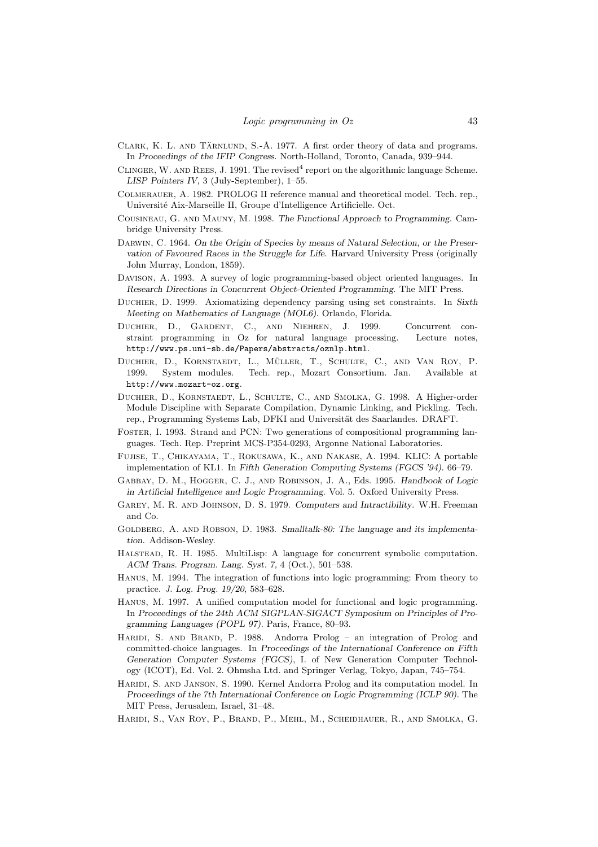- CLARK, K. L. AND TÄRNLUND, S.-A. 1977. A first order theory of data and programs. In Proceedings of the IFIP Congress. North-Holland, Toronto, Canada, 939–944.
- CLINGER, W. AND REES, J. 1991. The revised<sup>4</sup> report on the algorithmic language Scheme. LISP Pointers IV, 3 (July-September), 1–55.
- Colmerauer, A. 1982. PROLOG II reference manual and theoretical model. Tech. rep., Universit´e Aix-Marseille II, Groupe d'Intelligence Artificielle. Oct.
- Cousineau, G. and Mauny, M. 1998. The Functional Approach to Programming. Cambridge University Press.
- DARWIN, C. 1964. On the Origin of Species by means of Natural Selection, or the Preservation of Favoured Races in the Struggle for Life. Harvard University Press (originally John Murray, London, 1859).
- Davison, A. 1993. A survey of logic programming-based object oriented languages. In Research Directions in Concurrent Object-Oriented Programming. The MIT Press.
- Duchier, D. 1999. Axiomatizing dependency parsing using set constraints. In Sixth Meeting on Mathematics of Language (MOL6). Orlando, Florida.
- Duchier, D., Gardent, C., and Niehren, J. 1999. Concurrent constraint programming in Oz for natural language processing. Lecture notes, http://www.ps.uni-sb.de/Papers/abstracts/oznlp.html.
- DUCHIER, D., KORNSTAEDT, L., MÜLLER, T., SCHULTE, C., AND VAN ROY, P. 1999. System modules. Tech. rep., Mozart Consortium. Jan. Available at http://www.mozart-oz.org.
- Duchier, D., Kornstaedt, L., Schulte, C., and Smolka, G. 1998. A Higher-order Module Discipline with Separate Compilation, Dynamic Linking, and Pickling. Tech. rep., Programming Systems Lab, DFKI and Universität des Saarlandes. DRAFT.
- Foster, I. 1993. Strand and PCN: Two generations of compositional programming languages. Tech. Rep. Preprint MCS-P354-0293, Argonne National Laboratories.
- Fujise, T., Chikayama, T., Rokusawa, K., and Nakase, A. 1994. KLIC: A portable implementation of KL1. In Fifth Generation Computing Systems (FGCS '94). 66–79.
- Gabbay, D. M., Hogger, C. J., and Robinson, J. A., Eds. 1995. Handbook of Logic in Artificial Intelligence and Logic Programming. Vol. 5. Oxford University Press.
- Garey, M. R. and Johnson, D. S. 1979. Computers and Intractibility. W.H. Freeman and Co.
- GOLDBERG, A. AND ROBSON, D. 1983. Smalltalk-80: The language and its implementation. Addison-Wesley.
- Halstead, R. H. 1985. MultiLisp: A language for concurrent symbolic computation. ACM Trans. Program. Lang. Syst. 7, 4 (Oct.), 501–538.
- Hanus, M. 1994. The integration of functions into logic programming: From theory to practice. J. Log. Prog. 19/20, 583–628.
- Hanus, M. 1997. A unified computation model for functional and logic programming. In Proceedings of the 24th ACM SIGPLAN-SIGACT Symposium on Principles of Programming Languages (POPL 97). Paris, France, 80–93.
- HARIDI, S. AND BRAND, P. 1988. Andorra Prolog an integration of Prolog and committed-choice languages. In Proceedings of the International Conference on Fifth Generation Computer Systems (FGCS), I. of New Generation Computer Technology (ICOT), Ed. Vol. 2. Ohmsha Ltd. and Springer Verlag, Tokyo, Japan, 745–754.
- Haridi, S. and Janson, S. 1990. Kernel Andorra Prolog and its computation model. In Proceedings of the 7th International Conference on Logic Programming (ICLP 90). The MIT Press, Jerusalem, Israel, 31–48.
- Haridi, S., Van Roy, P., Brand, P., Mehl, M., Scheidhauer, R., and Smolka, G.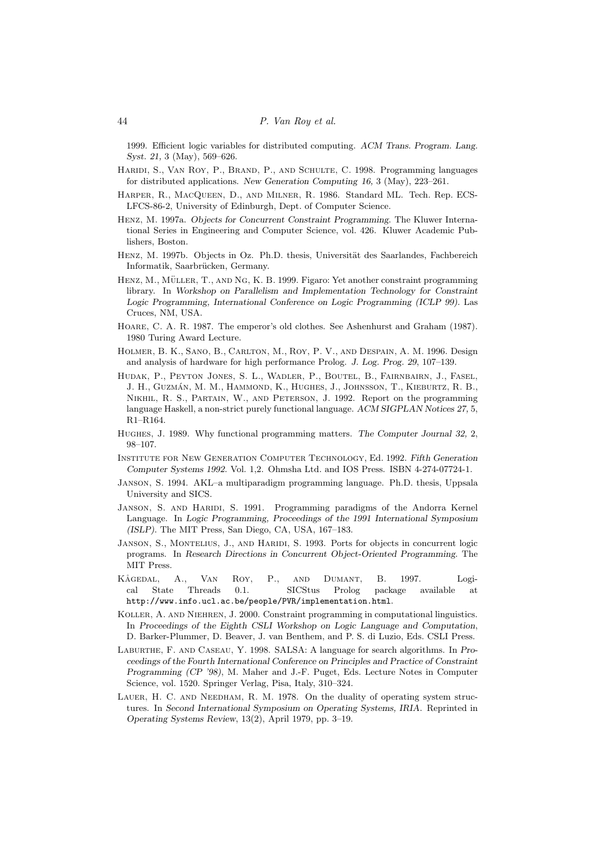1999. Efficient logic variables for distributed computing. ACM Trans. Program. Lang. Syst. 21, 3 (May), 569–626.

- Haridi, S., Van Roy, P., Brand, P., and Schulte, C. 1998. Programming languages for distributed applications. New Generation Computing 16, 3 (May), 223–261.
- Harper, R., MacQueen, D., and Milner, R. 1986. Standard ML. Tech. Rep. ECS-LFCS-86-2, University of Edinburgh, Dept. of Computer Science.
- Henz, M. 1997a. Objects for Concurrent Constraint Programming. The Kluwer International Series in Engineering and Computer Science, vol. 426. Kluwer Academic Publishers, Boston.
- HENZ, M. 1997b. Objects in Oz. Ph.D. thesis, Universität des Saarlandes, Fachbereich Informatik, Saarbrücken, Germany.
- HENZ, M., MÜLLER, T., AND NG, K. B. 1999. Figaro: Yet another constraint programming library. In Workshop on Parallelism and Implementation Technology for Constraint Logic Programming, International Conference on Logic Programming (ICLP 99). Las Cruces, NM, USA.
- Hoare, C. A. R. 1987. The emperor's old clothes. See Ashenhurst and Graham (1987). 1980 Turing Award Lecture.
- Holmer, B. K., Sano, B., Carlton, M., Roy, P. V., and Despain, A. M. 1996. Design and analysis of hardware for high performance Prolog. J. Log. Prog. 29, 107–139.
- Hudak, P., Peyton Jones, S. L., Wadler, P., Boutel, B., Fairnbairn, J., Fasel, J. H., GUZMÁN, M. M., HAMMOND, K., HUGHES, J., JOHNSSON, T., KIEBURTZ, R. B., Nikhil, R. S., Partain, W., and Peterson, J. 1992. Report on the programming language Haskell, a non-strict purely functional language. ACM SIGPLAN Notices 27, 5, R1–R164.
- Hughes, J. 1989. Why functional programming matters. The Computer Journal 32, 2, 98–107.
- Institute for New Generation Computer Technology, Ed. 1992. Fifth Generation Computer Systems 1992. Vol. 1,2. Ohmsha Ltd. and IOS Press. ISBN 4-274-07724-1.
- Janson, S. 1994. AKL–a multiparadigm programming language. Ph.D. thesis, Uppsala University and SICS.
- JANSON, S. AND HARIDI, S. 1991. Programming paradigms of the Andorra Kernel Language. In Logic Programming, Proceedings of the 1991 International Symposium (ISLP). The MIT Press, San Diego, CA, USA, 167–183.
- JANSON, S., MONTELIUS, J., AND HARIDI, S. 1993. Ports for objects in concurrent logic programs. In Research Directions in Concurrent Object-Oriented Programming. The MIT Press.
- KÅGEDAL, A., VAN ROY, P., AND DUMANT, B. 1997. Logical State Threads 0.1. SICStus Prolog package available at http://www.info.ucl.ac.be/people/PVR/implementation.html.
- Koller, A. and Niehren, J. 2000. Constraint programming in computational linguistics. In Proceedings of the Eighth CSLI Workshop on Logic Language and Computation, D. Barker-Plummer, D. Beaver, J. van Benthem, and P. S. di Luzio, Eds. CSLI Press.
- Laburthe, F. and Caseau, Y. 1998. SALSA: A language for search algorithms. In Proceedings of the Fourth International Conference on Principles and Practice of Constraint Programming (CP '98), M. Maher and J.-F. Puget, Eds. Lecture Notes in Computer Science, vol. 1520. Springer Verlag, Pisa, Italy, 310–324.
- LAUER, H. C. AND NEEDHAM, R. M. 1978. On the duality of operating system structures. In Second International Symposium on Operating Systems, IRIA. Reprinted in Operating Systems Review, 13(2), April 1979, pp. 3–19.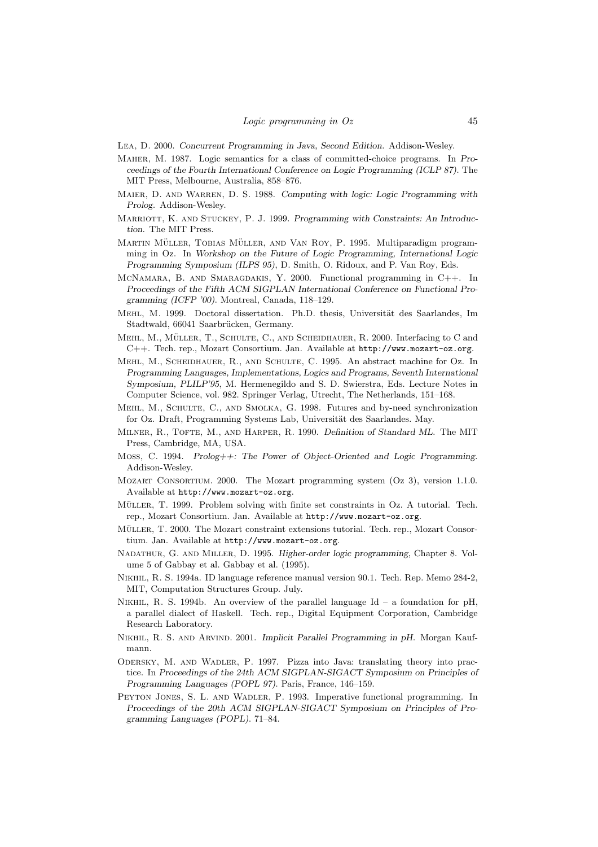Lea, D. 2000. Concurrent Programming in Java, Second Edition. Addison-Wesley.

- Maher, M. 1987. Logic semantics for a class of committed-choice programs. In Proceedings of the Fourth International Conference on Logic Programming (ICLP 87). The MIT Press, Melbourne, Australia, 858–876.
- MAIER, D. AND WARREN, D. S. 1988. Computing with logic: Logic Programming with Prolog. Addison-Wesley.
- MARRIOTT, K. AND STUCKEY, P. J. 1999. Programming with Constraints: An Introduction. The MIT Press.
- MARTIN MÜLLER, TOBIAS MÜLLER, AND VAN ROY, P. 1995. Multiparadigm programming in Oz. In Workshop on the Future of Logic Programming, International Logic Programming Symposium (ILPS 95), D. Smith, O. Ridoux, and P. Van Roy, Eds.
- McNamara, B. and Smaragdakis, Y. 2000. Functional programming in C++. In Proceedings of the Fifth ACM SIGPLAN International Conference on Functional Programming (ICFP '00). Montreal, Canada, 118–129.
- MEHL, M. 1999. Doctoral dissertation. Ph.D. thesis, Universität des Saarlandes, Im Stadtwald, 66041 Saarbrücken, Germany.
- MEHL, M., MÜLLER, T., SCHULTE, C., AND SCHEIDHAUER, R. 2000. Interfacing to C and C++. Tech. rep., Mozart Consortium. Jan. Available at http://www.mozart-oz.org.
- Mehl, M., Scheidhauer, R., and Schulte, C. 1995. An abstract machine for Oz. In Programming Languages, Implementations, Logics and Programs, Seventh International Symposium, PLILP'95, M. Hermenegildo and S. D. Swierstra, Eds. Lecture Notes in Computer Science, vol. 982. Springer Verlag, Utrecht, The Netherlands, 151–168.
- Mehl, M., Schulte, C., and Smolka, G. 1998. Futures and by-need synchronization for Oz. Draft, Programming Systems Lab, Universität des Saarlandes. May.
- MILNER, R., TOFTE, M., AND HARPER, R. 1990. Definition of Standard ML. The MIT Press, Cambridge, MA, USA.
- Moss, C. 1994. Prolog++: The Power of Object-Oriented and Logic Programming. Addison-Wesley.
- Mozart Consortium. 2000. The Mozart programming system (Oz 3), version 1.1.0. Available at http://www.mozart-oz.org.
- MÜLLER, T. 1999. Problem solving with finite set constraints in Oz. A tutorial. Tech. rep., Mozart Consortium. Jan. Available at http://www.mozart-oz.org.
- MÜLLER, T. 2000. The Mozart constraint extensions tutorial. Tech. rep., Mozart Consortium. Jan. Available at http://www.mozart-oz.org.
- Nadathur, G. and Miller, D. 1995. Higher-order logic programming, Chapter 8. Volume 5 of Gabbay et al. Gabbay et al. (1995).
- Nikhil, R. S. 1994a. ID language reference manual version 90.1. Tech. Rep. Memo 284-2, MIT, Computation Structures Group. July.
- NIKHIL, R. S. 1994b. An overview of the parallel language  $Id a$  foundation for pH, a parallel dialect of Haskell. Tech. rep., Digital Equipment Corporation, Cambridge Research Laboratory.
- Nikhil, R. S. and Arvind. 2001. Implicit Parallel Programming in pH. Morgan Kaufmann.
- Odersky, M. and Wadler, P. 1997. Pizza into Java: translating theory into practice. In Proceedings of the 24th ACM SIGPLAN-SIGACT Symposium on Principles of Programming Languages (POPL 97). Paris, France, 146–159.
- PEYTON JONES, S. L. AND WADLER, P. 1993. Imperative functional programming. In Proceedings of the 20th ACM SIGPLAN-SIGACT Symposium on Principles of Programming Languages (POPL). 71–84.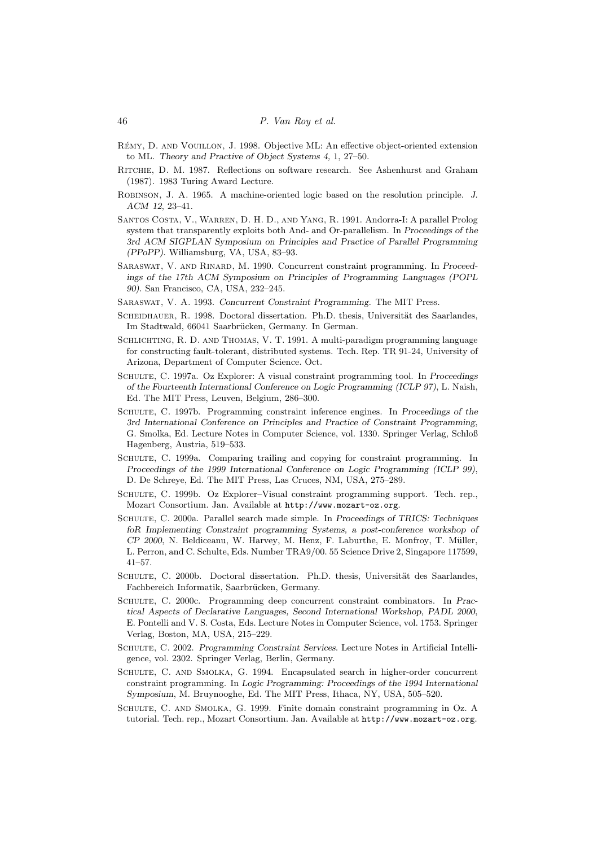- RÉMY, D. AND VOUILLON, J. 1998. Objective ML: An effective object-oriented extension to ML. Theory and Practive of Object Systems 4, 1, 27–50.
- Ritchie, D. M. 1987. Reflections on software research. See Ashenhurst and Graham (1987). 1983 Turing Award Lecture.
- Robinson, J. A. 1965. A machine-oriented logic based on the resolution principle. J. ACM 12, 23–41.
- Santos Costa, V., Warren, D. H. D., and Yang, R. 1991. Andorra-I: A parallel Prolog system that transparently exploits both And- and Or-parallelism. In Proceedings of the 3rd ACM SIGPLAN Symposium on Principles and Practice of Parallel Programming (PPoPP). Williamsburg, VA, USA, 83–93.
- Saraswat, V. and Rinard, M. 1990. Concurrent constraint programming. In Proceedings of the 17th ACM Symposium on Principles of Programming Languages (POPL 90). San Francisco, CA, USA, 232–245.
- Saraswat, V. A. 1993. Concurrent Constraint Programming. The MIT Press.
- SCHEIDHAUER, R. 1998. Doctoral dissertation. Ph.D. thesis, Universität des Saarlandes, Im Stadtwald, 66041 Saarbrücken, Germany. In German.
- SCHLICHTING, R. D. AND THOMAS, V. T. 1991. A multi-paradigm programming language for constructing fault-tolerant, distributed systems. Tech. Rep. TR 91-24, University of Arizona, Department of Computer Science. Oct.
- SCHULTE, C. 1997a. Oz Explorer: A visual constraint programming tool. In Proceedings of the Fourteenth International Conference on Logic Programming (ICLP 97), L. Naish, Ed. The MIT Press, Leuven, Belgium, 286–300.
- SCHULTE, C. 1997b. Programming constraint inference engines. In Proceedings of the 3rd International Conference on Principles and Practice of Constraint Programming, G. Smolka, Ed. Lecture Notes in Computer Science, vol. 1330. Springer Verlag, Schloß Hagenberg, Austria, 519–533.
- SCHULTE, C. 1999a. Comparing trailing and copying for constraint programming. In Proceedings of the 1999 International Conference on Logic Programming (ICLP 99), D. De Schreye, Ed. The MIT Press, Las Cruces, NM, USA, 275–289.
- Schulte, C. 1999b. Oz Explorer–Visual constraint programming support. Tech. rep., Mozart Consortium. Jan. Available at http://www.mozart-oz.org.
- Schulte, C. 2000a. Parallel search made simple. In Proceedings of TRICS: Techniques foR Implementing Constraint programming Systems, a post-conference workshop of CP 2000, N. Beldiceanu, W. Harvey, M. Henz, F. Laburthe, E. Monfroy, T. Müller, L. Perron, and C. Schulte, Eds. Number TRA9/00. 55 Science Drive 2, Singapore 117599, 41–57.
- SCHULTE, C. 2000b. Doctoral dissertation. Ph.D. thesis, Universität des Saarlandes, Fachbereich Informatik, Saarbrücken, Germany.
- Schulte, C. 2000c. Programming deep concurrent constraint combinators. In Practical Aspects of Declarative Languages, Second International Workshop, PADL 2000, E. Pontelli and V. S. Costa, Eds. Lecture Notes in Computer Science, vol. 1753. Springer Verlag, Boston, MA, USA, 215–229.
- Schulte, C. 2002. Programming Constraint Services. Lecture Notes in Artificial Intelligence, vol. 2302. Springer Verlag, Berlin, Germany.
- Schulte, C. and Smolka, G. 1994. Encapsulated search in higher-order concurrent constraint programming. In Logic Programming: Proceedings of the 1994 International Symposium, M. Bruynooghe, Ed. The MIT Press, Ithaca, NY, USA, 505–520.
- Schulte, C. and Smolka, G. 1999. Finite domain constraint programming in Oz. A tutorial. Tech. rep., Mozart Consortium. Jan. Available at http://www.mozart-oz.org.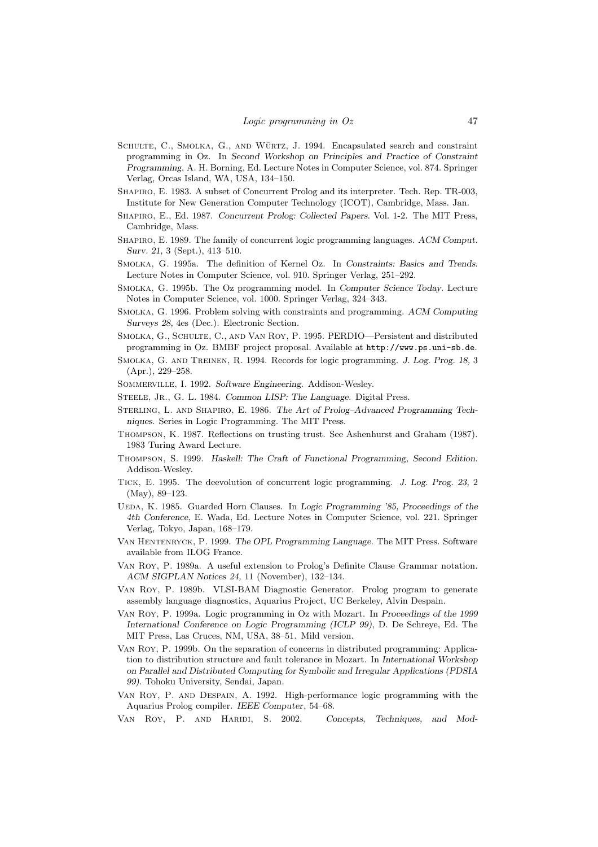- SCHULTE, C., SMOLKA, G., AND WÜRTZ, J. 1994. Encapsulated search and constraint programming in Oz. In Second Workshop on Principles and Practice of Constraint Programming, A. H. Borning, Ed. Lecture Notes in Computer Science, vol. 874. Springer Verlag, Orcas Island, WA, USA, 134–150.
- SHAPIRO, E. 1983. A subset of Concurrent Prolog and its interpreter. Tech. Rep. TR-003, Institute for New Generation Computer Technology (ICOT), Cambridge, Mass. Jan.
- Shapiro, E., Ed. 1987. Concurrent Prolog: Collected Papers. Vol. 1-2. The MIT Press, Cambridge, Mass.
- Shapiro, E. 1989. The family of concurrent logic programming languages. ACM Comput. Surv. 21, 3 (Sept.), 413–510.
- Smolka, G. 1995a. The definition of Kernel Oz. In Constraints: Basics and Trends. Lecture Notes in Computer Science, vol. 910. Springer Verlag, 251–292.
- Smolka, G. 1995b. The Oz programming model. In Computer Science Today. Lecture Notes in Computer Science, vol. 1000. Springer Verlag, 324–343.
- Smolka, G. 1996. Problem solving with constraints and programming. ACM Computing Surveys 28, 4es (Dec.). Electronic Section.
- Smolka, G., Schulte, C., and Van Roy, P. 1995. PERDIO—Persistent and distributed programming in Oz. BMBF project proposal. Available at http://www.ps.uni-sb.de.
- Smolka, G. and Treinen, R. 1994. Records for logic programming. J. Log. Prog. 18, 3 (Apr.), 229–258.
- SOMMERVILLE, I. 1992. Software Engineering. Addison-Wesley.
- STEELE, JR., G. L. 1984. Common LISP: The Language. Digital Press.
- Sterling, L. and Shapiro, E. 1986. The Art of Prolog–Advanced Programming Techniques. Series in Logic Programming. The MIT Press.
- Thompson, K. 1987. Reflections on trusting trust. See Ashenhurst and Graham (1987). 1983 Turing Award Lecture.
- Thompson, S. 1999. Haskell: The Craft of Functional Programming, Second Edition. Addison-Wesley.
- Tick, E. 1995. The deevolution of concurrent logic programming. J. Log. Prog. 23, 2 (May), 89–123.
- UEDA, K. 1985. Guarded Horn Clauses. In Logic Programming '85, Proceedings of the 4th Conference, E. Wada, Ed. Lecture Notes in Computer Science, vol. 221. Springer Verlag, Tokyo, Japan, 168–179.
- Van Hentenryck, P. 1999. The OPL Programming Language. The MIT Press. Software available from ILOG France.
- Van Roy, P. 1989a. A useful extension to Prolog's Definite Clause Grammar notation. ACM SIGPLAN Notices 24, 11 (November), 132–134.
- Van Roy, P. 1989b. VLSI-BAM Diagnostic Generator. Prolog program to generate assembly language diagnostics, Aquarius Project, UC Berkeley, Alvin Despain.
- Van Roy, P. 1999a. Logic programming in Oz with Mozart. In Proceedings of the 1999 International Conference on Logic Programming (ICLP 99), D. De Schreye, Ed. The MIT Press, Las Cruces, NM, USA, 38–51. Mild version.
- Van Roy, P. 1999b. On the separation of concerns in distributed programming: Application to distribution structure and fault tolerance in Mozart. In International Workshop on Parallel and Distributed Computing for Symbolic and Irregular Applications (PDSIA 99). Tohoku University, Sendai, Japan.
- Van Roy, P. and Despain, A. 1992. High-performance logic programming with the Aquarius Prolog compiler. IEEE Computer, 54–68.

VAN ROY, P. AND HARIDI, S. 2002. Concepts, Techniques, and Mod-